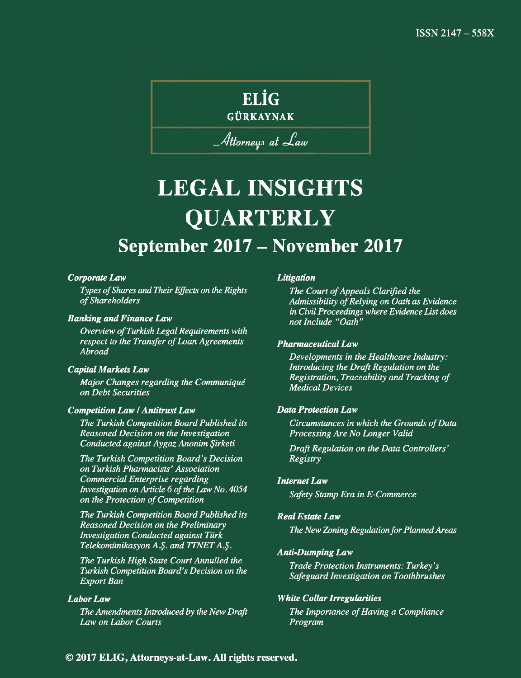## **ELİG**

GÜRKAYNAK

## *^ fittorn eu ä a t .aw*

## **LEGAL INSIGHTS QUARTERLY September 2017 - November 2017**

#### *Corporate Law*

*Types of Shares and Their Effects on the Rights of Shareholders*

#### *Banking and Finance Law*

*Overview of Turkish Legal Requirements with respect to the Transfer of Loan Agreements Abroad*

#### *Capital Markets Law*

*Major Changes regarding the Communiqué on Debt Securities*

#### *Competition Law* **/** *Antitrust Law*

*The Turkish Competition Board Published its Reasoned Decision on the Investigation Conducted against Aygaz Anonim Şirketi*

*The Turkish Competition Board's Decision on Turkish Pharmacists' Association Commercial Enterprise regarding Investigation on Article 6 of the Law No. 4054 on the Protection of Competition*

*The Turkish Competition Board Published its Reasoned Decision on the Preliminary Investigation Conducted against Türk Telekomünikasyon A.Ş. and TTNET A.Ş.*

*The Turkish High State Court Annulled the Turkish Competition Board's Decision on the Export Ban*

#### *Labor Law*

*The Amendments Introduced by the New Draft Law on Labor Courts*

#### *Litigation*

*The Court of Appeals Clarified the Admissibility of Relying on Oath as Evidence in Civil Proceedings where Evidence List does not Include "Oath"*

#### *Pharmaceutical Law*

*Developments in the Healthcare Industry: Introducing the Draft Regulation on the Registration, Traceability and Tracking of Medical Devices*

#### *Data Protection Law*

*Circumstances in which the Grounds of Data Processing Are No Longer Valid*

*Draft Regulation on the Data Controllers' Registry*

#### *Internet Law*

*Safety Stamp Era in E-Commerce*

#### *Real Estate Law*

*The New Zoning Regulation for Planned Areas*

#### *Anti-Dumping Law*

*Trade Protection Instruments: Turkey's Safeguard Investigation on Toothbrushes*

#### *White Collar Irregularities*

*The Importance of Having a Compliance Program*

#### **© 2017 ELIG, Attorneys-at-Law. All rights reserved.**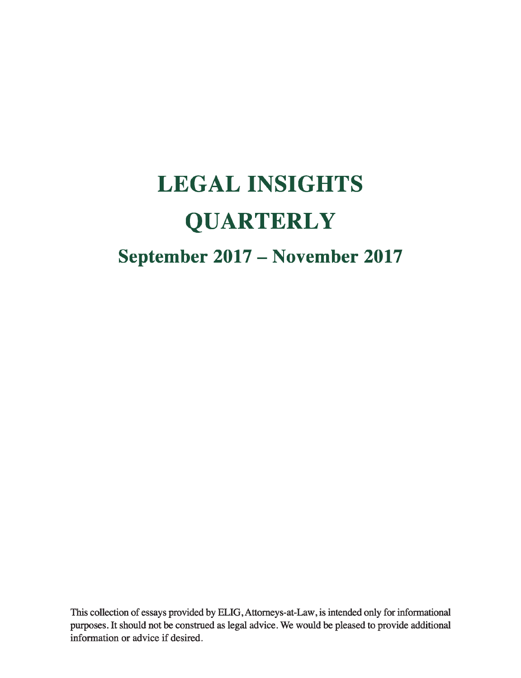# **LEGAL INSIGHTS QUARTERLY September 2017 - November 2017**

This collection of essays provided by ELIG, Attomeys-at-Law, is intended only for informational purposes. It should not be construed as legal advice. We would be pleased to provide additional information or advice if desired.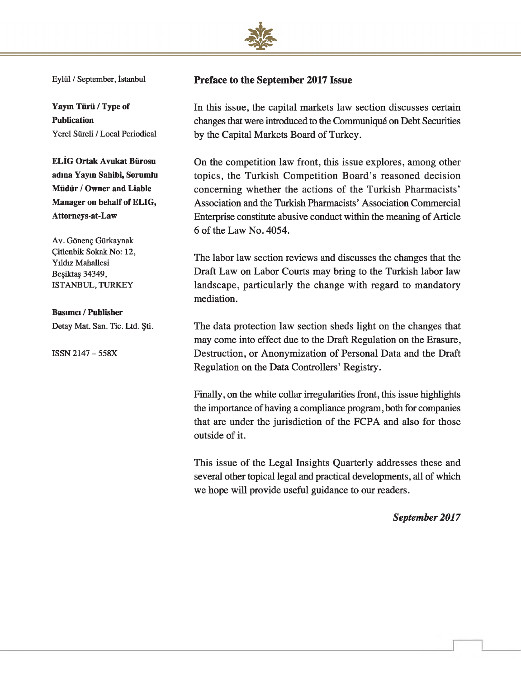

Eylül / September, İstanbul

**Yayın Türü / Type of Publication** Yerel Süreli / Local Periodical

**ELİG Ortak Avukat Bürosu adına Yayın Sahibi, Sorumlu Müdür / Owner and Liable Manager on behalf of ELIG, Attorneys-at-Law**

Av. Gönenç Gürkaynak Çitlenbik Sokak No: 12, Yıldız Mahallesi Beşiktaş 34349, ISTANBUL, TURKEY

#### **Basımcı / Publisher**

Detay Mat. San. Tic. Ltd. Şti.

ISSN 2147 - 558X

#### **Preface to the September 2017 Issue**

In this issue, the capital markets law section discusses certain changes that were introduced to the Communiqué on Debt Securities by the Capital Markets Board of Turkey.

On the competition law front, this issue explores, among other topics, the Turkish Competition Board's reasoned decision concerning whether the actions of the Turkish Pharmacists' Association and the Turkish Pharmacists' Association Commercial Enterprise constitute abusive conduct within the meaning of Article 6 of the Law No. 4054.

The labor law section reviews and discusses the changes that the Draft Law on Labor Courts may bring to the Turkish labor law landscape, particularly the change with regard to mandatory mediation.

The data protection law section sheds light on the changes that may come into effect due to the Draft Regulation on the Erasure, Destruction, or Anonymization of Personal Data and the Draft Regulation on the Data Controllers' Registry.

Finally, on the white collar irregularities front, this issue highlights the importance of having a compliance program, both for companies that are under the jurisdiction of the FCPA and also for those outside of it.

This issue of the Legal Insights Quarterly addresses these and several other topical legal and practical developments, all of which we hope will provide useful guidance to our readers.

*September 2017*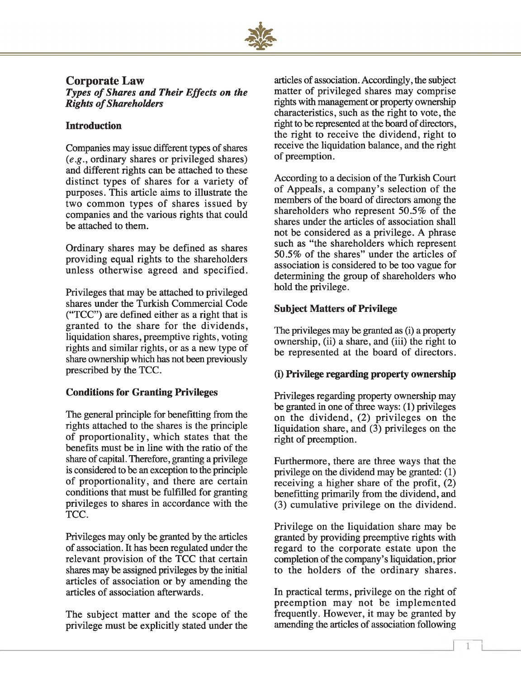

### **Corporate Law**

*Types of Shares and Their Effects on the* **Rights of Shareholders** 

#### **Introduction**

Companies may issue different types of shares *(e.g.,* ordinary shares or privileged shares) and different rights can be attached to these distinct types of shares for a variety of purposes. This article aims to illustrate the two common types of shares issued by companies and the various rights that could be attached to them.

Ordinary shares may be defined as shares providing equal rights to the shareholders unless otherwise agreed and specified.

Privileges that may be attached to privileged shares under the Turkish Commercial Code ("TCC") are defined either as a right that is granted to the share for the dividends, liquidation shares, preemptive rights, voting rights and similar rights, or as a new type of share ownership which has not been previously prescribed by the TCC.

#### **Conditions for Granting Privileges**

The general principle for benefitting from the rights attached to the shares is the principle of proportionality, which states that the benefits must be in line with the ratio of the share of capital. Therefore, granting a privilege is considered to be an exception to the principle of proportionality, and there are certain conditions that must be fulfilled for granting privileges to shares in accordance with the TCC.

Privileges may only be granted by the articles of association. It has been regulated under the relevant provision of the TCC that certain shares may be assigned privileges by the initial articles of association or by amending the articles of association afterwards.

The subject matter and the scope of the privilege must be explicitly stated under the

articles of association. Accordingly, the subject matter of privileged shares may comprise rights with management or property ownership characteristics, such as the right to vote, the right to be represented at the board of directors, the right to receive the dividend, right to receive the liquidation balance, and the right of preemption.

According to a decision of the Turkish Court of Appeals, a company's selection of the members of the board of directors among the shareholders who represent 50.5% of the shares under the articles of association shall not be considered as a privilege. A phrase such as "the shareholders which represent 50.5% of the shares" under the articles of association is considered to be too vague for determining the group of shareholders who hold the privilege.

#### **Subject Matters of Privilege**

The privileges may be granted as (i) a property ownership, (ii) a share, and (iii) the right to be represented at the board of directors.

#### **(i) Privilege regarding property ownership**

Privileges regarding property ownership may be granted in one of three ways: (1) privileges on the dividend, (2) privileges on the liquidation share, and (3) privileges on the right of preemption.

Furthermore, there are three ways that the privilege on the dividend may be granted: (1) receiving a higher share of the profit, (2) benefitting primarily from the dividend, and (3) cumulative privilege on the dividend.

Privilege on the liquidation share may be granted by providing preemptive rights with regard to the corporate estate upon the completion of the company's liquidation, prior to the holders of the ordinary shares.

In practical terms, privilege on the right of preemption may not be implemented frequently. However, it may be granted by amending the articles of association following

*I*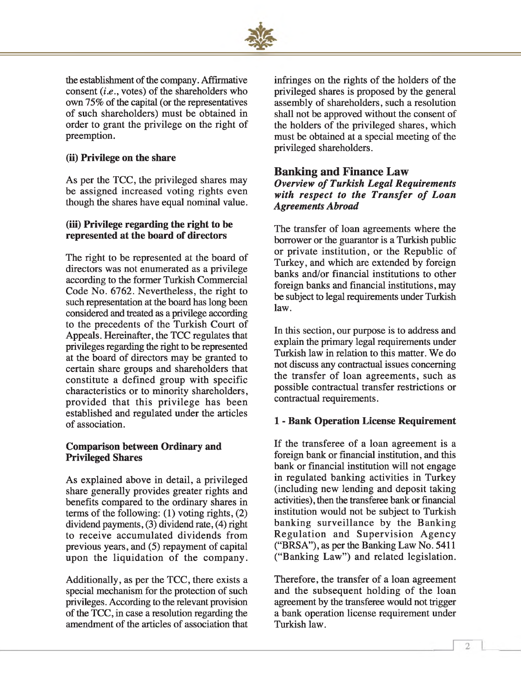

the establishment of the company. Affirmative consent *(i.e.,* votes) of the shareholders who own 75% of the capital (or the representatives of such shareholders) must be obtained in order to grant the privilege on the right of preemption.

#### **(ii) Privilege on the share**

As per the TCC, the privileged shares may be assigned increased voting rights even though the shares have equal nominal value.

#### **(iii) Privilege regarding the right to be represented at the board of directors**

The right to be represented at the board of directors was not enumerated as a privilege according to the former Turkish Commercial Code No. 6762. Nevertheless, the right to such representation at the board has long been considered and treated as a privilege according to the precedents of the Turkish Court of Appeals. Hereinafter, the TCC regulates that privileges regarding the right to be represented at the board of directors may be granted to certain share groups and shareholders that constitute a defined group with specific characteristics or to minority shareholders, provided that this privilege has been established and regulated under the articles of association.

#### **Comparison between Ordinary and Privileged Shares**

As explained above in detail, a privileged share generally provides greater rights and benefits compared to the ordinary shares in terms of the following: (1) voting rights, (2) dividend payments, (3) dividend rate, (4) right to receive accumulated dividends from previous years, and (5) repayment of capital upon the liquidation of the company.

Additionally, as per the TCC, there exists a special mechanism for the protection of such privileges. According to the relevant provision of the TCC, in case a resolution regarding the amendment of the articles of association that infringes on the rights of the holders of the privileged shares is proposed by the general assembly of shareholders, such a resolution shall not be approved without the consent of the holders of the privileged shares, which must be obtained at a special meeting of the privileged shareholders.

#### **Banking and Finance Law**

#### **Overview of Turkish Legal Requirements** with respect to the Transfer of Loan *Agreements Abroad*

The transfer of loan agreements where the borrower or the guarantor is a Turkish public or private institution, or the Republic of Turkey, and which are extended by foreign banks and/or financial institutions to other foreign banks and financial institutions, may be subject to legal requirements under Turkish law.

In this section, our purpose is to address and explain the primary legal requirements under Turkish law in relation to this matter. We do not discuss any contractual issues concerning the transfer of loan agreements, such as possible contractual transfer restrictions or contractual requirements.

#### **1 - Bank Operation License Requirement**

If the transferee of a loan agreement is a foreign bank or financial institution, and this bank or financial institution will not engage in regulated banking activities in Turkey (including new lending and deposit taking activities), then the transferee bank or financial institution would not be subject to Turkish banking surveillance by the Banking Regulation and Supervision Agency ("BRSA"), as per the Banking Law No. 5411 ("Banking Law") and related legislation.

Therefore, the transfer of a loan agreement and the subsequent holding of the loan agreement by the transferee would not trigger a bank operation license requirement under Turkish law.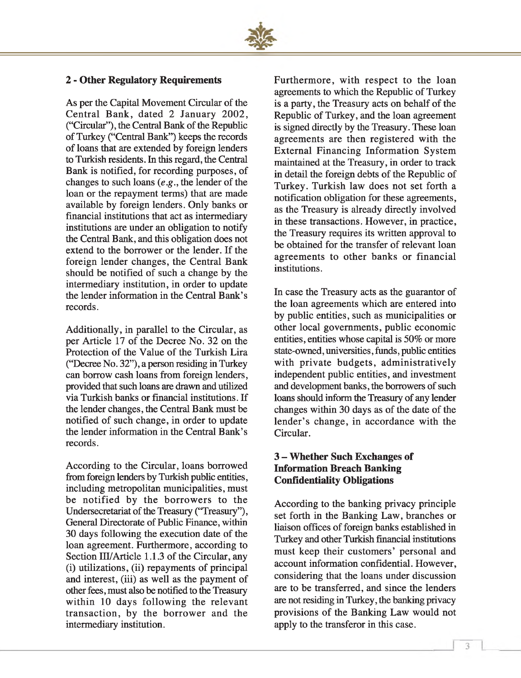

#### **2 - Other Regulatory Requirements**

As per the Capital Movement Circular of the Central Bank, dated 2 January 2002, ("Circular"), the Central Bank of the Republic of Turkey ("Central Bank") keeps the records of loans that are extended by foreign lenders to Turkish residents. In this regard, the Central Bank is notified, for recording purposes, of changes to such loans *(e.g.,* the lender of the loan or the repayment terms) that are made available by foreign lenders. Only banks or financial institutions that act as intermediary institutions are under an obligation to notify the Central Bank, and this obligation does not extend to the borrower or the lender. If the foreign lender changes, the Central Bank should be notified of such a change by the intermediary institution, in order to update the lender information in the Central Bank's records.

Additionally, in parallel to the Circular, as per Article 17 of the Decree No. 32 on the Protection of the Value of the Turkish Lira ("Decree No. 32"), a person residing in Turkey can borrow cash loans from foreign lenders, provided that such loans are drawn and utilized via Turkish banks or financial institutions. If the lender changes, the Central Bank must be notified of such change, in order to update the lender information in the Central Bank's records.

According to the Circular, loans borrowed from foreign lenders by Turkish public entities, including metropolitan municipalities, must be notified by the borrowers to the Undersecretariat of the Treasury ("Treasury"), General Directorate of Public Finance, within 30 days following the execution date of the loan agreement. Furthermore, according to Section III/Article 1.1.3 of the Circular, any (i) utilizations, (ii) repayments of principal and interest, (iii) as well as the payment of other fees, must also be notified to the Treasury within 10 days following the relevant transaction, by the borrower and the intermediary institution.

Furthermore, with respect to the loan agreements to which the Republic of Turkey is a party, the Treasury acts on behalf of the Republic of Turkey, and the loan agreement is signed directly by the Treasury. These loan agreements are then registered with the External Financing Information System maintained at the Treasury, in order to track in detail the foreign debts of the Republic of Turkey. Turkish law does not set forth a notification obligation for these agreements, as the Treasury is already directly involved in these transactions. However, in practice, the Treasury requires its written approval to be obtained for the transfer of relevant loan agreements to other banks or financial institutions.

In case the Treasury acts as the guarantor of the loan agreements which are entered into by public entities, such as municipalities or other local governments, public economic entities, entities whose capital is 50% or more state-owned, universities, funds, public entities with private budgets, administratively independent public entities, and investment and development banks, the borrowers of such loans should inform the Treasury of any lender changes within 30 days as of the date of the lender's change, in accordance with the Circular.

#### **3 - Whether Such Exchanges of Information Breach Banking Confidentiality Obligations**

According to the banking privacy principle set forth in the Banking Law, branches or liaison offices of foreign banks established in Turkey and other Turkish financial institutions must keep their customers' personal and account information confidential. However, considering that the loans under discussion are to be transferred, and since the lenders are not residing in Turkey, the banking privacy provisions of the Banking Law would not apply to the transferor in this case.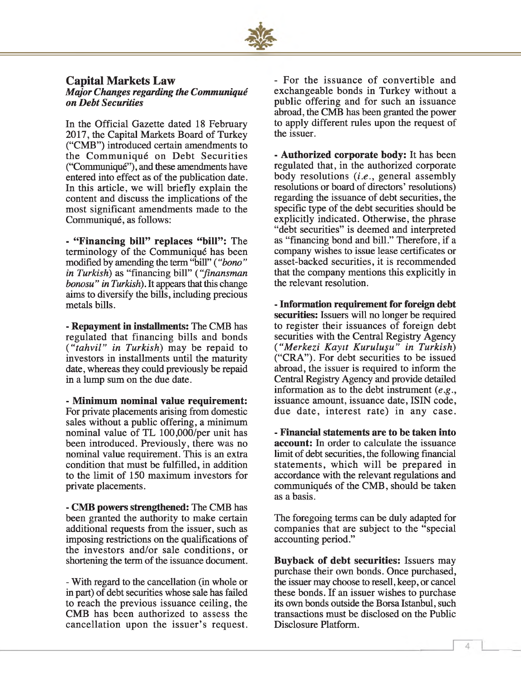

#### **Capital Markets Law** *Major Changes regarding the Communiqué on Debt Securities*

In the Official Gazette dated 18 February 2017, the Capital Markets Board of Turkey ("CMB") introduced certain amendments to the Communiqué on Debt Securities ("Communiqué"), and these amendments have entered into effect as of the publication date. In this article, we will briefly explain the content and discuss the implications of the most significant amendments made to the Communiqué, as follows:

- "**Financing bill" replaces "bill":** The terminology of the Communiqué has been modified by amending the term "bill" ( *"bono " in Turkish)* as "financing bill" *{"fmansman bonosu" in Turkish).* It appears that this change aims to diversify the bills, including precious metals bills.

**- Repayment in installments:** The CMB has regulated that financing bills and bonds ("tahvil" in Turkish) may be repaid to investors in installments until the maturity date, whereas they could previously be repaid in a lump sum on the due date.

**- Minimum nominal value requirement:** For private placements arising from domestic sales without a public offering, a minimum nominal value of TL 100,000/per unit has been introduced. Previously, there was no nominal value requirement. This is an extra condition that must be fulfilled, in addition to the limit of 150 maximum investors for private placements.

**- CMB powers strengthened:** The CMB has been granted the authority to make certain additional requests from the issuer, such as imposing restrictions on the qualifications of the investors and/or sale conditions, or shortening the term of the issuance document.

- With regard to the cancellation (in whole or in part) of debt securities whose sale has failed to reach the previous issuance ceiling, the CMB has been authorized to assess the cancellation upon the issuer's request.

- For the issuance of convertible and exchangeable bonds in Turkey without a public offering and for such an issuance abroad, the CMB has been granted the power to apply different rules upon the request of the issuer.

**- Authorized corporate body:** It has been regulated that, in the authorized corporate body resolutions (*i.e* ., general assembly resolutions or board of directors' resolutions) regarding the issuance of debt securities, the specific type of the debt securities should be explicitly indicated. Otherwise, the phrase "debt securities" is deemed and interpreted as "financing bond and bill." Therefore, if a company wishes to issue lease certificates or asset-backed securities, it is recommended that the company mentions this explicitly in the relevant resolution.

**- Information requirement for foreign debt securities:** Issuers will no longer be required to register their issuances of foreign debt securities with the Central Registry Agency *( "M erkezi Kayıt K uruluşu" in Turkish)* ("CRA"). For debt securities to be issued abroad, the issuer is required to inform the Central Registry Agency and provide detailed information as to the debt instrument (*e.g*., issuance amount, issuance date, ISIN code, due date, interest rate) in any case.

**- Financial statements are to be taken into account:** In order to calculate the issuance limit of debt securities, the following financial statements, which will be prepared in accordance with the relevant regulations and communiqués of the CMB, should be taken as a basis.

The foregoing terms can be duly adapted for companies that are subject to the "special accounting period."

**Buyback of debt securities:** Issuers may purchase their own bonds. Once purchased, the issuer may choose to resell, keep, or cancel these bonds. If an issuer wishes to purchase its own bonds outside the Borsa Istanbul, such transactions must be disclosed on the Public Disclosure Platform.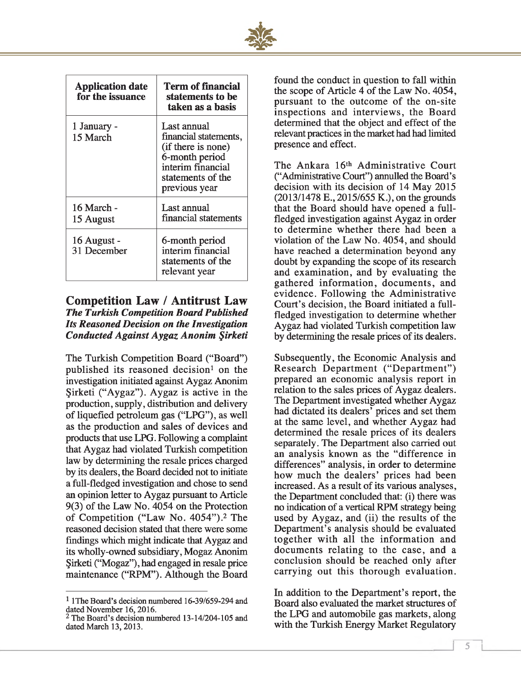

| <b>Application date</b><br>for the issuance | Term of financial<br>statements to be<br>taken as a basis                                                                               |
|---------------------------------------------|-----------------------------------------------------------------------------------------------------------------------------------------|
| 1 January -<br>15 March                     | Last annual<br>financial statements,<br>(if there is none)<br>6-month period<br>interim financial<br>statements of the<br>previous year |
| 16 March -<br>15 August                     | Last annual<br>financial statements                                                                                                     |
| 16 August -<br>31 December                  | 6-month period<br>interim financial<br>statements of the<br>relevant year                                                               |

#### **Competition Law / Antitrust Law** *The Turkish Competition Board Published Its Reasoned Decision on the Investigation Conducted Against Aygaz Anonim Şirketi*

The Turkish Competition Board ("Board") published its reasoned decision<sup>1</sup> on the investigation initiated against Aygaz Anonim Şirketi ("Aygaz"). Aygaz is active in the production, supply, distribution and delivery of liquefied petroleum gas ("LPG"), as well as the production and sales of devices and products that use LPG. Following a complaint that Aygaz had violated Turkish competition law by determining the resale prices charged by its dealers, the Board decided not to initiate a full-fledged investigation and chose to send an opinion letter to Aygaz pursuant to Article 9(3) of the Law No. 4054 on the Protection of Competition ("Law No. 4054").2 The reasoned decision stated that there were some findings which might indicate that Aygaz and its wholly-owned subsidiary, Mogaz Anonim Şirketi ("Mogaz"), had engaged in resale price maintenance ("RPM"). Although the Board found the conduct in question to fall within the scope of Article 4 of the Law No. 4054, pursuant to the outcome of the on-site inspections and interviews, the Board determined that the object and effect of the relevant practices in the market had had limited presence and effect.

The Ankara 16<sup>th</sup> Administrative Court ("Administrative Court") annulled the Board's decision with its decision of 14 May 2015  $(2013/1478 \text{ E}., 2015/655 \text{ K}.),$  on the grounds that the Board should have opened a fullfledged investigation against Aygaz in order to determine whether there had been a violation of the Law No. 4054, and should have reached a determination beyond any doubt by expanding the scope of its research and examination, and by evaluating the gathered information, documents, and evidence. Following the Administrative Court's decision, the Board initiated a fullfledged investigation to determine whether Aygaz had violated Turkish competition law by determining the resale prices of its dealers.

Subsequently, the Economic Analysis and Research Department ("Department") prepared an economic analysis report in relation to the sales prices of Aygaz dealers. The Department investigated whether Aygaz had dictated its dealers<sup>7</sup> prices and set them at the same level, and whether Aygaz had determined the resale prices of its dealers separately. The Department also carried out an analysis known as the "difference in differences" analysis, in order to determine how much the dealers' prices had been increased. As a result of its various analyses, the Department concluded that: (i) there was no indication of a vertical RPM strategy being used by Aygaz, and (ii) the results of the Department's analysis should be evaluated together with all the information and documents relating to the case, and a conclusion should be reached only after carrying out this thorough evaluation.

In addition to the Department's report, the Board also evaluated the market structures of the LPG and automobile gas markets, along with the Turkish Energy Market Regulatory

*1*

<sup>1</sup> IThe Board's decision numbered 16-39/659-294 and dated November 16,2016.

 $2$  The Board's decision numbered 13-14/204-105 and dated March 13, 2013.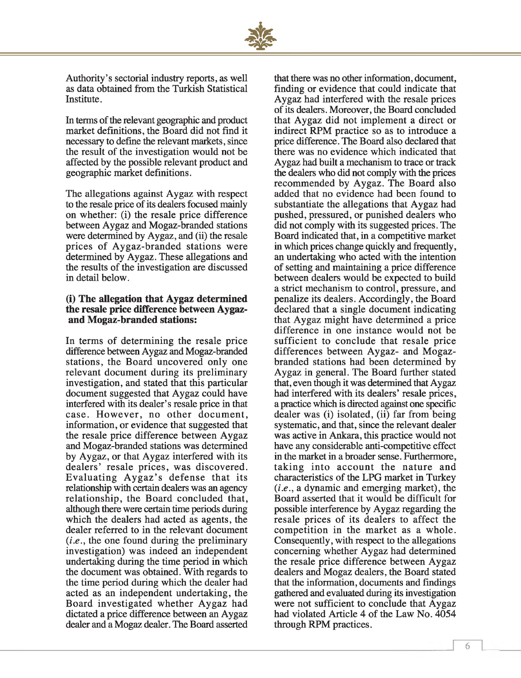

Authority's sectorial industry reports, as well as data obtained from the Turkish Statistical Institute.

In terms of the relevant geographic and product market definitions, the Board did not find it necessary to define the relevant markets, since the result of the investigation would not be affected by the possible relevant product and geographic market definitions.

The allegations against Aygaz with respect to the resale price of its dealers focused mainly on whether: (i) the resale price difference between Aygaz and Mogaz-branded stations were determined by Aygaz, and (ii) the resale prices of Aygaz-branded stations were determined by Aygaz. These allegations and the results of the investigation are discussed in detail below.

#### **(i) The allegation that Aygaz determined the resale price difference between Aygazand Mogaz-branded stations:**

In terms of determining the resale price difference between Aygaz and Mogaz-branded stations, the Board uncovered only one relevant document during its preliminary investigation, and stated that this particular document suggested that Aygaz could have interfered with its dealer's resale price in that case. However, no other document, information, or evidence that suggested that the resale price difference between Aygaz and Mogaz-branded stations was determined by Aygaz, or that Aygaz interfered with its dealers' resale prices, was discovered. Evaluating Aygaz's defense that its relationship with certain dealers was an agency relationship, the Board concluded that, although there were certain time periods during which the dealers had acted as agents, the dealer referred to in the relevant document (*i.e*., the one found during the preliminary investigation) was indeed an independent undertaking during the time period in which the document was obtained. With regards to the time period during which the dealer had acted as an independent undertaking, the Board investigated whether Aygaz had dictated a price difference between an Aygaz dealer and a Mogaz dealer. The Board asserted

that there was no other information, document, finding or evidence that could indicate that Aygaz had interfered with the resale prices of its dealers. Moreover, the Board concluded that Aygaz did not implement a direct or indirect RPM practice so as to introduce a price difference. The Board also declared that there was no evidence which indicated that Aygaz had built a mechanism to trace or track the dealers who did not comply with the prices recommended by Aygaz. The Board also added that no evidence had been found to substantiate the allegations that Aygaz had pushed, pressured, or punished dealers who did not comply with its suggested prices. The Board indicated that, in a competitive market in which prices change quickly and frequently, an undertaking who acted with the intention of setting and maintaining a price difference between dealers would be expected to build a strict mechanism to control, pressure, and penalize its dealers. Accordingly, the Board declared that a single document indicating that Aygaz might have determined a price difference in one instance would not be sufficient to conclude that resale price differences between Aygaz- and Mogazbranded stations had been determined by Aygaz in general. The Board further stated that, even though it was determined that Aygaz had interfered with its dealers' resale prices, a practice which is directed against one specific dealer was (i) isolated, (ii) far from being systematic, and that, since the relevant dealer was active in Ankara, this practice would not have any considerable anti-competitive effect in the market in a broader sense. Furthermore, taking into account the nature and characteristics of the LPG market in Turkey *(i.e.,* a dynamic and emerging market), the Board asserted that it would be difficult for possible interference by Aygaz regarding the resale prices of its dealers to affect the competition in the market as a whole. Consequently, with respect to the allegations concerning whether Aygaz had determined the resale price difference between Aygaz dealers and Mogaz dealers, the Board stated that the information, documents and findings gathered and evaluated during its investigation were not sufficient to conclude that Aygaz had violated Article 4 of the Law No. 4054 through RPM practices.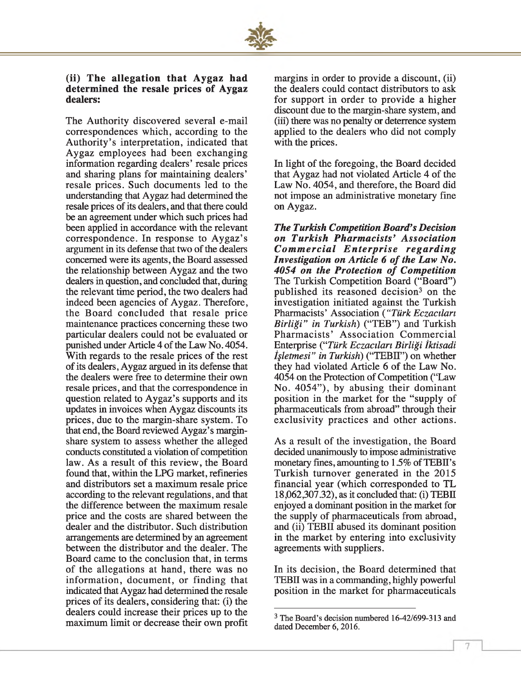

#### (ii) The allegation that Avgaz had **determ ined the resale prices of Aygaz dealers:**

The Authority discovered several e-mail correspondences which, according to the Authority's interpretation, indicated that Aygaz employees had been exchanging information regarding dealers' resale prices and sharing plans for maintaining dealers' resale prices. Such documents led to the understanding that Aygaz had determined the resale prices of its dealers, and that there could be an agreement under which such prices had been applied in accordance with the relevant correspondence. In response to Aygaz's argument in its defense that two of the dealers concerned were its agents, the Board assessed the relationship between Aygaz and the two dealers in question, and concluded that, during the relevant time period, the two dealers had indeed been agencies of Aygaz. Therefore, the Board concluded that resale price maintenance practices concerning these two particular dealers could not be evaluated or punished under Article 4 of the Law No. 4054. With regards to the resale prices of the rest of its dealers, Aygaz argued in its defense that the dealers were free to determine their own resale prices, and that the correspondence in question related to Aygaz's supports and its updates in invoices when Aygaz discounts its prices, due to the margin-share system. To that end, the Board reviewed Aygaz's marginshare system to assess whether the alleged conducts constituted a violation of competition law. As a result of this review, the Board found that, within the LPG market, refineries and distributors set a maximum resale price according to the relevant regulations, and that the difference between the maximum resale price and the costs are shared between the dealer and the distributor. Such distribution arrangements are determined by an agreement between the distributor and the dealer. The Board came to the conclusion that, in terms of the allegations at hand, there was no information, document, or finding that indicated that Aygaz had determined the resale prices of its dealers, considering that: (i) the dealers could increase their prices up to the maximum limit or decrease their own profit margins in order to provide a discount, (ii) the dealers could contact distributors to ask for support in order to provide a higher discount due to the margin-share system, and (in) there was no penalty or deterrence system applied to the dealers who did not comply with the prices.

In light of the foregoing, the Board decided that Aygaz had not violated Article 4 of the Law No. 4054, and therefore, the Board did not impose an administrative monetary fine on Aygaz.

*The Turkish Competition Board's Decision on Turkish P h arm acists' A ssociation Commercial Enterprise regarding Investigation on Article 6 of the Law No.* 4054 on the Protection of Competition The Turkish Competition Board ("Board") published its reasoned decision3 on the investigation initiated against the Turkish Pharmacists' Association *( "Türk Eczacıları B irliği" in Turkish)* ("TEB") and Turkish Pharmacists' Association Commercial Enterprise *("Türk Eczacıları Birliği İktisadi İşletmesi" in Turkish)* ("TEBII") on whether they had violated Article 6 of the Law No. 4054 on the Protection of Competition ("Law No. 4054"), by abusing their dominant position in the market for the "supply of pharmaceuticals from abroad" through their exclusivity practices and other actions.

As a result of the investigation, the Board decided unanimously to impose administrative monetary fines, amounting to 1.5% of TEBII's Turkish turnover generated in the 2015 financial year (which corresponded to TL 18,062,307.32), as it concluded that: (i) TEBII enjoyed a dominant position in the market for the supply of pharmaceuticals from abroad, and (ii) TEBII abused its dominant position in the market by entering into exclusivity agreements with suppliers.

In its decision, the Board determined that TEBII was in a commanding, highly powerful position in the market for pharmaceuticals

<sup>3</sup> The Board's decision numbered 16-42/699-313 and dated December 6, 2016.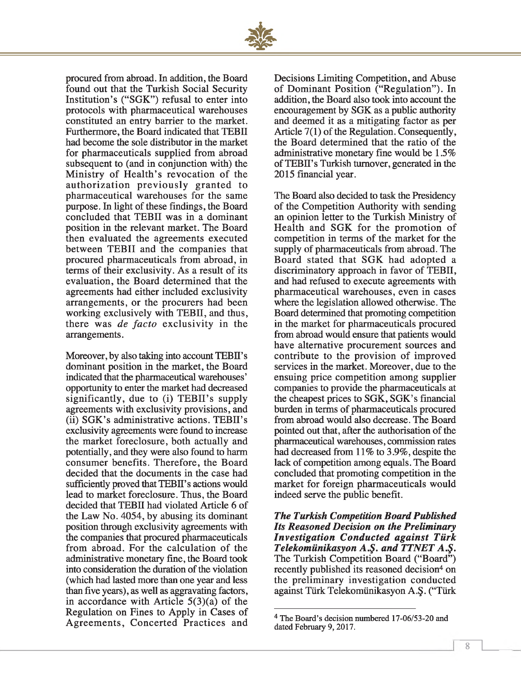

procured from abroad. In addition, the Board found out that the Turkish Social Security Institution's ("SGK") refusal to enter into protocols with pharmaceutical warehouses constituted an entry barrier to the market. Furthermore, the Board indicated that TEBII had become the sole distributor in the market for pharmaceuticals supplied from abroad subsequent to (and in conjunction with) the Ministry of Health's revocation of the authorization previously granted to pharmaceutical warehouses for the same purpose. In light of these findings, the Board concluded that TEBII was in a dominant position in the relevant market. The Board then evaluated the agreements executed between TEBII and the companies that procured pharmaceuticals from abroad, in terms of their exclusivity. As a result of its evaluation, the Board determined that the agreements had either included exclusivity arrangements, or the procurers had been working exclusively with TEBII, and thus, there was *de facto* exclusivity in the arrangements.

Moreover, by also taking into account TEBII's dominant position in the market, the Board indicated that the pharmaceutical warehouses' opportunity to enter the market had decreased significantly, due to (i) TEBII's supply agreements with exclusivity provisions, and (ii) SGK's administrative actions. TEBII's exclusivity agreements were found to increase the market foreclosure, both actually and potentially, and they were also found to harm consumer benefits. Therefore, the Board decided that the documents in the case had sufficiently proved that TEBII's actions would lead to market foreclosure. Thus, the Board decided that TEBII had violated Article 6 of the Law No. 4054, by abusing its dominant position through exclusivity agreements with the companies that procured pharmaceuticals from abroad. For the calculation of the administrative monetary fine, the Board took into consideration the duration of the violation (which had lasted more than one year and less than five years), as well as aggravating factors, in accordance with Article 5(3)(a) of the Regulation on Fines to Apply in Cases of Agreements, Concerted Practices and Decisions Limiting Competition, and Abuse of Dominant Position ("Regulation"). In addition, the Board also took into account the encouragement by SGK as a public authority and deemed it as a mitigating factor as per Article 7(1) of the Regulation. Consequently, the Board determined that the ratio of the administrative monetary fine would be 1.5% of TEBII's Turkish turnover, generated in the 2015 financial year.

The Board also decided to task the Presidency of the Competition Authority with sending an opinion letter to the Turkish Ministry of Health and SGK for the promotion of competition in terms of the market for the supply of pharmaceuticals from abroad. The B oard stated that SGK had adopted a discriminatory approach in favor of TEBII, and had refused to execute agreements with pharmaceutical warehouses, even in cases where the legislation allowed otherwise. The Board determined that promoting competition in the market for pharmaceuticals procured from abroad would ensure that patients would have alternative procurement sources and contribute to the provision of improved services in the market. Moreover, due to the ensuing price competition among supplier companies to provide the pharmaceuticals at the cheapest prices to SGK, SGK's financial burden in terms of pharmaceuticals procured from abroad would also decrease. The Board pointed out that, after the authorisation of the pharmaceutical warehouses, commission rates had decreased from 11% to 3.9%, despite the lack of competition among equals. The Board concluded that promoting competition in the market for foreign pharmaceuticals would indeed serve the public benefit.

*The Turkish Competition Board Published Its Reasoned Decision on the Preliminary Investigation C onducted against Türk Telekomünikasyon A.Ş. and TTNET A.Ş.* The Turkish Competition Board ("Board") recently published its reasoned decision<sup>4</sup> on the preliminary investigation conducted against Türk Telekomünikasyon A.Ş. ("Türk

<sup>4</sup> The Board's decision numbered 17-06/53-20 and dated February 9, 2017.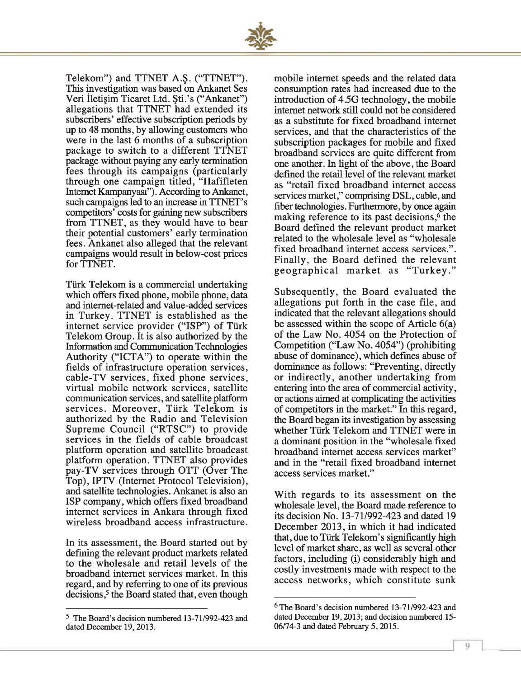

Telekom") and TTNET A.Ş. ("TTNET"). This investigation was based on Ankanet Ses Veri İletişim Ticaret Ltd. Şti.'s ("Ankanet") allegations that TTNET had extended its subscribers' effective subscription periods by up to 48 months, by allowing customers who were in the last 6 months of a subscription package to switch to a different TTNET package without paying any early termination fees through its campaigns (particularly through one campaign titled, "Hafifleten Internet Kampanyası"). According to Ankanet, such campaigns led to an increase in TTNET's competitors' costs for gaining new subscribers from TTNET, as they would have to bear their potential customers' early termination fees. Ankanet also alleged that the relevant campaigns would result in below-cost prices for TTNET.

Türk Telekom is a commercial undertaking which offers fixed phone, mobile phone, data and internet-related and value-added services in Turkey. TTNET is established as the internet service provider ("ISP") of Türk Telekom Group. It is also authorized by the Information and Communication Technologies Authority ("ICTA") to operate within the fields of infrastructure operation services, cable-TV services, fixed phone services, virtual mobile network services, satellite communication services, and satellite platform services. Moreover, Türk Telekom is authorized by the Radio and Television Supreme Council ("RTSC") to provide services in the fields of cable broadcast platform operation and satellite broadcast platform operation. TTNET also provides pay-TV services through OTT (Over The Top), IPTV (Internet Protocol Television), and satellite technologies. Ankanet is also an ISP company, which offers fixed broadband internet services in Ankara through fixed wireless broadband access infrastructure.

In its assessment, the Board started out by defining the relevant product markets related to the wholesale and retail levels of the broadband internet services market. In this regard, and by referring to one of its previous decisions,<sup>5</sup> the Board stated that, even though

mobile internet speeds and the related data consumption rates had increased due to the introduction of 4.5G technology, the mobile internet network still could not be considered as a substitute for fixed broadband internet services, and that the characteristics of the subscription packages for mobile and fixed broadband services are quite different from one another. In light of the above, the Board defined the retail level of the relevant market as "retail fixed broadband internet access services market," comprising DSL, cable, and fiber technologies. Furthermore, by once again making reference to its past decisions,<sup>6</sup> the Board defined the relevant product market related to the wholesale level as "wholesale fixed broadband internet access services.". Finally, the Board defined the relevant geographical market as "Turkey."

Subsequently, the Board evaluated the allegations put forth in the case file, and indicated that the relevant allegations should be assessed within the scope of Article 6(a) of the Law No. 4054 on the Protection of Competition ("Law No. 4054") (prohibiting abuse of dominance), which defines abuse of dominance as follows: "Preventing, directly or indirectly, another undertaking from entering into the area of commercial activity, or actions aimed at complicating the activities of competitors in the market." In this regard, the Board began its investigation by assessing whether Türk Telekom and TTNET were in a dominant position in the "wholesale fixed broadband internet access services market" and in the "retail fixed broadband internet access services market."

With regards to its assessment on the wholesale level, the Board made reference to its decision No. 13-71/992-423 and dated 19 December 2013, in which it had indicated that, due to Türk Telekom's significantly high level of market share, as well as several other factors, including (i) considerably high and costly investments made with respect to the access networks, which constitute sunk

<sup>5</sup> The Board's decision numbered 13-71/992-423 and dated December 19, 2013.

<sup>6</sup> The Board's decision numbered 13-71/992-423 and dated December 19,2013; and decision numbered 15- 06/74-3 and dated February 5,2015.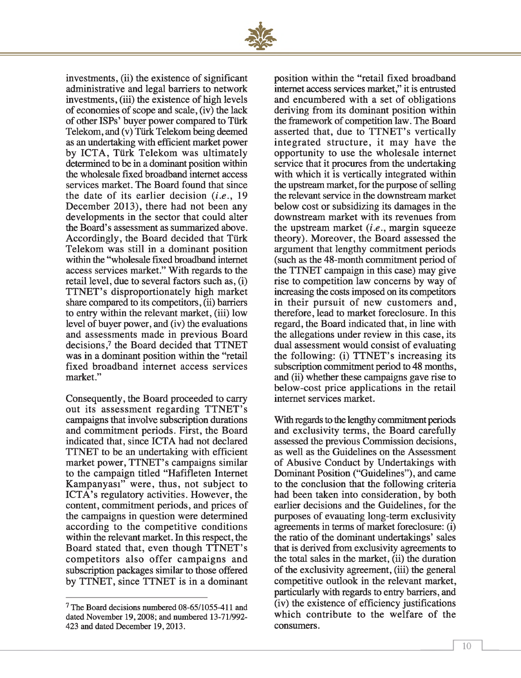

investments, (ii) the existence of significant administrative and legal barriers to network investments, (iii) the existence of high levels of economies of scope and scale, (iv) the lack of other ISPs' buyer power compared to Türk Telekom, and (v) Türk Telekom being deemed as an undertaking with efficient market power by ICTA, Türk Telekom was ultimately determined to be in a dominant position within the wholesale fixed broadband internet access services market. The Board found that since the date of its earlier decision (*i.e* ., 19 December 2013), there had not been any developments in the sector that could alter the Board's assessment as summarized above. Accordingly, the Board decided that Türk Telekom was still in a dominant position within the "wholesale fixed broadband internet access services market." With regards to the retail level, due to several factors such as, (i) TTNET's disproportionately high market share compared to its competitors, (ii) barriers to entry within the relevant market, (iii) low level of buyer power, and (iv) the evaluations and assessments made in previous Board decisions,7 the Board decided that TTNET was in a dominant position within the "retail fixed broadband internet access services market."

Consequently, the Board proceeded to carry out its assessment regarding TTNET's campaigns that involve subscription durations and commitment periods. First, the Board indicated that, since ICTA had not declared TTNET to be an undertaking with efficient market power, TTNET's campaigns similar to the campaign titled "Hafifleten Internet Kampanyası" were, thus, not subject to ICTA's regulatory activities. However, the content, commitment periods, and prices of the campaigns in question were determined according to the competitive conditions within the relevant market. In this respect, the Board stated that, even though TTNET's competitors also offer campaigns and subscription packages similar to those offered by TTNET, since TTNET is in a dominant

position within the "retail fixed broadband internet access services market," it is entrusted and encumbered with a set of obligations deriving from its dominant position within the framework of competition law. The Board asserted that, due to TTNET's vertically integrated structure, it may have the opportunity to use the wholesale internet service that it procures from the undertaking with which it is vertically integrated within the upstream market, for the purpose of selling the relevant service in the downstream market below cost or subsidizing its damages in the downstream market with its revenues from the upstream market *(i.e.,* margin squeeze theory). Moreover, the Board assessed the argument that lengthy commitment periods (such as the 48-month commitment period of the TTNET campaign in this case) may give rise to competition law concerns by way of increasing the costs imposed on its competitors in their pursuit of new customers and, therefore, lead to market foreclosure. In this regard, the Board indicated that, in line with the allegations under review in this case, its dual assessment would consist of evaluating the following: (i) TTNET's increasing its subscription commitment period to 48 months, and (ii) whether these campaigns gave rise to below-cost price applications in the retail internet services market.

With regards to the lengthy commitment periods and exclusivity terms, the Board carefully assessed the previous Commission decisions, as well as the Guidelines on the Assessment of Abusive Conduct by Undertakings with Dominant Position ("Guidelines"), and came to the conclusion that the following criteria had been taken into consideration, by both earlier decisions and the Guidelines, for the purposes of evauating long-term exclusivity agreements in terms of market foreclosure: (i) the ratio of the dominant undertakings' sales that is derived from exclusivity agreements to the total sales in the market, (ii) the duration of the exclusivity agreement, (iii) the general competitive outlook in the relevant market, particularly with regards to entry barriers, and (iv) the existence of efficiency justifications which contribute to the welfare of the consumers.

<sup>7</sup> The Board decisions numbered 08-65/1055-411 and dated November 19,2008; and numbered 13-71/992- 423 and dated December 19,2013.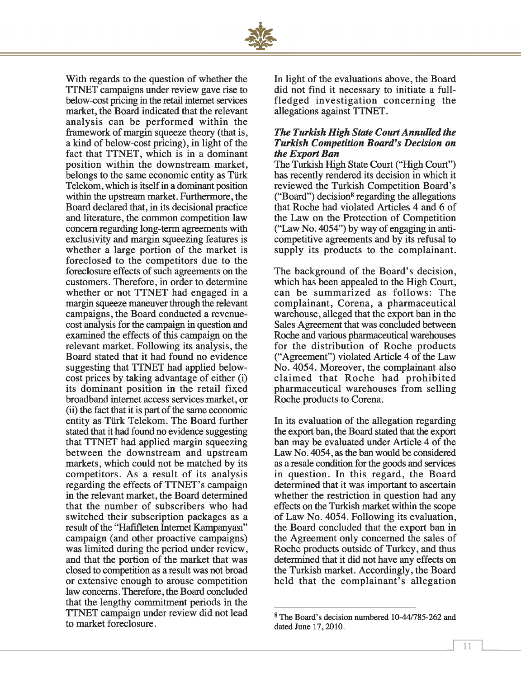

With regards to the question of whether the TTNET campaigns under review gave rise to below-cost pricing in the retail internet services market, the Board indicated that the relevant analysis can be performed within the framework of margin squeeze theory (that is, a kind of below-cost pricing), in light of the fact that TTNET, which is in a dominant position within the downstream market, belongs to the same economic entity as Türk Telekom, which is itself in a dominant position within the upstream market. Furthermore, the Board declared that, in its decisional practice and literature, the common competition law concern regarding long-term agreements with exclusivity and margin squeezing features is whether a large portion of the market is foreclosed to the competitors due to the foreclosure effects of such agreements on the customers. Therefore, in order to determine whether or not TTNET had engaged in a margin squeeze maneuver through the relevant campaigns, the Board conducted a revenuecost analysis for the campaign in question and examined the effects of this campaign on the relevant market. Following its analysis, the Board stated that it had found no evidence suggesting that TTNET had applied belowcost prices by taking advantage of either (i) its dominant position in the retail fixed broadband internet access services market, or (ii) the fact that it is part of the same economic entity as Türk Telekom. The Board further stated that it had found no evidence suggesting that TTNET had applied margin squeezing between the downstream and upstream markets, which could not be matched by its com petitors. As a result of its analysis regarding the effects of TTNET's campaign in the relevant market, the Board determined that the number of subscribers who had switched their subscription packages as a result of the "Hafifleten Internet Kampanyası" campaign (and other proactive campaigns) was limited during the period under review, and that the portion of the market that was closed to competition as a result was not broad or extensive enough to arouse competition law concerns. Therefore, the Board concluded that the lengthy commitment periods in the TTNET campaign under review did not lead to market foreclosure.

In light of the evaluations above, the Board did not find it necessary to initiate a fullfledged investigation concerning the allegations against TTNET.

#### *The Turkish High State Court Annulled the Turkish Competition Board's Decision on the Export Ban*

The Turkish High State Court ("High Court") has recently rendered its decision in which it reviewed the Turkish Competition Board's ("Board") decision8 regarding the allegations that Roche had violated Articles 4 and 6 of the Law on the Protection of Competition ("Law No. 4054") by way of engaging in anticompetitive agreements and by its refusal to supply its products to the complainant.

The background of the Board's decision, which has been appealed to the High Court, can be summarized as follows: The complainant, Corena, a pharmaceutical warehouse, alleged that the export ban in the Sales Agreement that was concluded between Roche and various pharmaceutical warehouses for the distribution of Roche products ("Agreement") violated Article 4 of the Law No. 4054. Moreover, the complainant also claimed that Roche had prohibited pharm aceutical warehouses from selling Roche products to Corena.

In its evaluation of the allegation regarding the export ban, the Board stated that the export ban may be evaluated under Article 4 of the Law No. 4054, as the ban would be considered as a resale condition for the goods and services in question. In this regard, the Board determined that it was important to ascertain whether the restriction in question had any effects on the Turkish market within the scope of Law No. 4054. Following its evaluation, the Board concluded that the export ban in the Agreement only concerned the sales of Roche products outside of Turkey, and thus determined that it did not have any effects on the Turkish market. Accordingly, the Board held that the complainant's allegation

<sup>8</sup> The Board's decision numbered 10-44/785-262 and dated June 17,2010.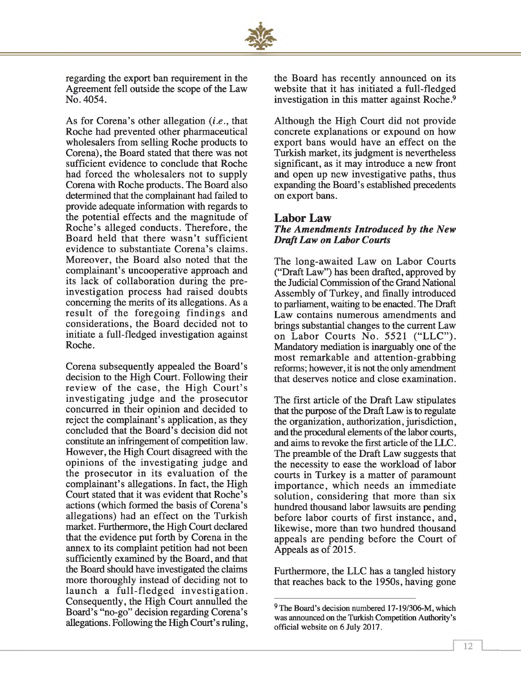

regarding the export ban requirement in the Agreement fell outside the scope of the Law No. 4054.

As for Corena's other allegation (*i.e*., that Roche had prevented other pharmaceutical wholesalers from selling Roche products to Corena), the Board stated that there was not sufficient evidence to conclude that Roche had forced the wholesalers not to supply Corena with Roche products. The Board also determined that the complainant had failed to provide adequate information with regards to the potential effects and the magnitude of Roche's alleged conducts. Therefore, the Board held that there wasn't sufficient evidence to substantiate Corena's claims. Moreover, the Board also noted that the complainant's uncooperative approach and its lack of collaboration during the preinvestigation process had raised doubts concerning the merits of its allegations. As a result of the foregoing findings and considerations, the Board decided not to initiate a full-fledged investigation against Roche.

Corena subsequently appealed the Board's decision to the High Court. Following their review of the case, the High Court's investigating judge and the prosecutor concurred in their opinion and decided to reject the complainant's application, as they concluded that the Board's decision did not constitute an infringement of competition law. However, the High Court disagreed with the opinions of the investigating judge and the prosecutor in its evaluation of the complainant's allegations. In fact, the High Court stated that it was evident that Roche's actions (which formed the basis of Corena's allegations) had an effect on the Turkish market. Furthermore, the High Court declared that the evidence put forth by Corena in the annex to its complaint petition had not been sufficiently examined by the Board, and that the Board should have investigated the claims more thoroughly instead of deciding not to launch a full-fledged investigation. Consequently, the High Court annulled the Board's "no-go" decision regarding Corena's allegations. Following the High Court's ruling,

the Board has recently announced on its website that it has initiated a full-fledged investigation in this matter against Roche.9

Although the High Court did not provide concrete explanations or expound on how export bans would have an effect on the Turkish market, its judgment is nevertheless significant, as it may introduce a new front and open up new investigative paths, thus expanding the Board's established precedents on export bans.

#### **Labor Law**

#### *The Amendments Introduced by the New Draft Law on Labor Courts*

The long-awaited Law on Labor Courts ("Draft Law") has been drafted, approved by the Judicial Commission of the Grand National Assembly of Turkey, and finally introduced to parliament, waiting to be enacted. The Draft Law contains numerous amendments and brings substantial changes to the current Law on Labor Courts No. 5521 ("LLC"). Mandatory mediation is inarguably one of the most remarkable and attention-grabbing reforms; however, it is not the only amendment that deserves notice and close examination.

The first article of the Draft Law stipulates that the purpose of the Draft Law is to regulate the organization, authorization, jurisdiction, and the procedural elements of the labor courts, and aims to revoke the first article of the LLC. The preamble of the Draft Law suggests that the necessity to ease the workload of labor courts in Turkey is a matter of paramount importance, which needs an immediate solution, considering that more than six hundred thousand labor lawsuits are pending before labor courts of first instance, and, likewise, more than two hundred thousand appeals are pending before the Court of Appeals as of 2015.

Furthermore, the LLC has a tangled history that reaches back to the 1950s, having gone

<sup>&</sup>lt;sup>9</sup> The Board's decision numbered 17-19/306-M, which was announced on the Turkish Competition Authority's official website on 6 July 2017.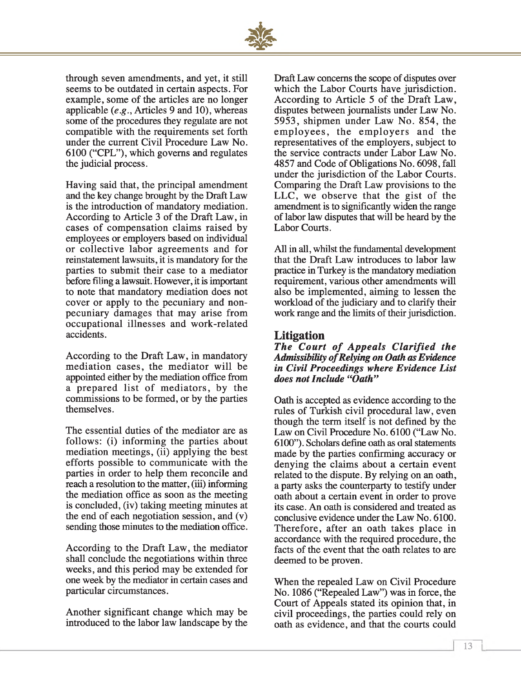

through seven amendments, and yet, it still seems to be outdated in certain aspects. For example, some of the articles are no longer applicable *(e.g.,* Articles 9 and 10), whereas some of the procedures they regulate are not compatible with the requirements set forth under the current Civil Procedure Law No. 6100 ("CPL"), which governs and regulates the judicial process.

Having said that, the principal amendment and the key change brought by the Draft Law is the introduction of mandatory mediation. According to Article 3 of the Draft Law, in cases of compensation claims raised by employees or employers based on individual or collective labor agreements and for reinstatement lawsuits, it is mandatory for the parties to submit their case to a mediator before filing a lawsuit. However, it is important to note that mandatory mediation does not cover or apply to the pecuniary and nonpecuniary damages that may arise from occupational illnesses and work-related accidents.

According to the Draft Law, in mandatory mediation cases, the mediator will be appointed either by the mediation office from a prepared list of mediators, by the commissions to be formed, or by the parties themselves.

The essential duties of the mediator are as follows: (i) informing the parties about mediation meetings, (ii) applying the best efforts possible to communicate with the parties in order to help them reconcile and reach a resolution to the matter, (iii) informing the mediation office as soon as the meeting is concluded, (iv) taking meeting minutes at the end of each negotiation session, and (v) sending those minutes to the mediation office.

According to the Draft Law, the mediator shall conclude the negotiations within three weeks, and this period may be extended for one week by the mediator in certain cases and particular circumstances.

Another significant change which may be introduced to the labor law landscape by the Draft Law concerns the scope of disputes over which the Labor Courts have jurisdiction. According to Article 5 of the Draft Law, disputes between journalists under Law No. 5953, shipmen under Law No. 854, the employees, the employers and the representatives of the employers, subject to the service contracts under Labor Law No. 4857 and Code of Obligations No. 6098, fall under the jurisdiction of the Labor Courts. Comparing the Draft Law provisions to the LLC, we observe that the gist of the amendment is to significantly widen the range of labor law disputes that will be heard by the Labor Courts.

All in all, whilst the fundamental development that the Draft Law introduces to labor law practice in Turkey is the mandatory mediation requirement, various other amendments will also be implemented, aiming to lessen the workload of the judiciary and to clarify their work range and the limits of their jurisdiction.

#### **Litigation**

*The Court of Appeals Clarified the* Admissibility of Relying on Oath as Evidence *in Civil Proceedings where Evidence List does not Include "Oath"*

Oath is accepted as evidence according to the rules of Turkish civil procedural law, even though the term itself is not defined by the Law on Civil Procedure No. 6100 ("Law No. 6100"). Scholars define oath as oral statements made by the parties confirming accuracy or denying the claims about a certain event related to the dispute. By relying on an oath, a party asks the counterparty to testify under oath about a certain event in order to prove its case. An oath is considered and treated as conclusive evidence under the Law No. 6100. Therefore, after an oath takes place in accordance with the required procedure, the facts of the event that the oath relates to are deemed to be proven.

When the repealed Law on Civil Procedure No. 1086 ("Repealed Law") was in force, the Court of Appeals stated its opinion that, in civil proceedings, the parties could rely on oath as evidence, and that the courts could

*1*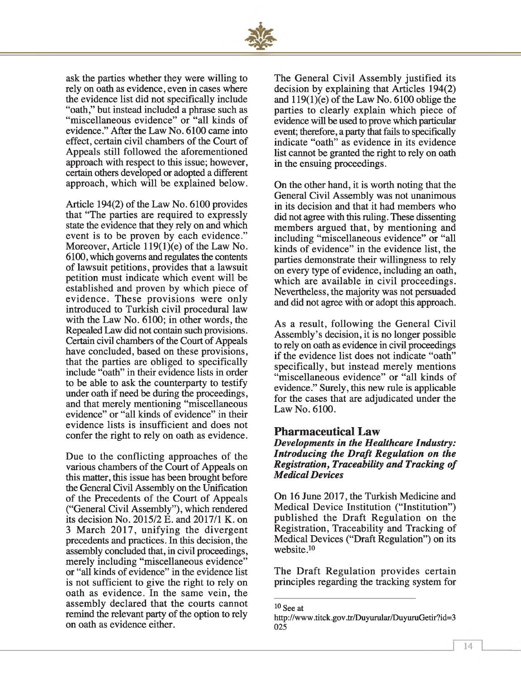

ask the parties whether they were willing to rely on oath as evidence, even in cases where the evidence list did not specifically include "oath," but instead included a phrase such as "miscellaneous evidence" or "all kinds of evidence." After the Law No. 6100 came into effect, certain civil chambers of the Court of Appeals still followed the aforementioned approach with respect to this issue; however, certain others developed or adopted a different approach, which will be explained below.

Article 194(2) of the Law No. 6100 provides that "The parties are required to expressly state the evidence that they rely on and which event is to be proven by each evidence." Moreover, Article 119(1)(e) of the Law No. 6100, which governs and regulates the contents of lawsuit petitions, provides that a lawsuit petition must indicate which event will be established and proven by which piece of evidence. These provisions were only introduced to Turkish civil procedural law with the Law No. 6100; in other words, the Repealed Law did not contain such provisions. Certain civil chambers of the Court of Appeals have concluded, based on these provisions, that the parties are obliged to specifically include "oath" in their evidence lists in order to be able to ask the counterparty to testify under oath if need be during the proceedings, and that merely mentioning "miscellaneous evidence" or "all kinds of evidence" in their evidence lists is insufficient and does not confer the right to rely on oath as evidence.

Due to the conflicting approaches of the various chambers of the Court of Appeals on this matter, this issue has been brought before the General Civil Assembly on the Unification of the Precedents of the Court of Appeals ("General Civil Assembly"), which rendered its decision No. 2015/2 E. and 2017/1 K. on 3 March 2017, unifying the divergent precedents and practices. In this decision, the assembly concluded that, in civil proceedings, merely including "miscellaneous evidence" or "all kinds of evidence" in the evidence list is not sufficient to give the right to rely on oath as evidence. In the same vein, the assembly declared that the courts cannot remind the relevant party of the option to rely on oath as evidence either.

The General Civil Assembly justified its decision by explaining that Articles 194(2) and  $119(1)(e)$  of the Law No. 6100 oblige the parties to clearly explain which piece of evidence will be used to prove which particular event; therefore, a party that fails to specifically indicate "oath" as evidence in its evidence list cannot be granted the right to rely on oath in the ensuing proceedings.

On the other hand, it is worth noting that the General Civil Assembly was not unanimous in its decision and that it had members who did not agree with this ruling. These dissenting members argued that, by mentioning and including "miscellaneous evidence" or "all kinds of evidence" in the evidence list, the parties demonstrate their willingness to rely on every type of evidence, including an oath, which are available in civil proceedings. Nevertheless, the majority was not persuaded and did not agree with or adopt this approach.

As a result, following the General Civil Assembly's decision, it is no longer possible to rely on oath as evidence in civil proceedings if the evidence list does not indicate "oath" specifically, but instead merely mentions "miscellaneous evidence" or "all kinds of evidence." Surely, this new rule is applicable for the cases that are adjudicated under the Law No. 6100.

#### **Pharmaceutical Law**

*Developments in the Healthcare Industry: Introducing the Draft Regulation on the Registration, Traceability and Tracking of Medical Devices*

On 16 June 2017, the Turkish Medicine and Medical Device Institution ("Institution") published the Draft Regulation on the Registration, Traceability and Tracking of Medical Devices ("Draft Regulation") on its website.10

The Draft Regulation provides certain principles regarding the tracking system for

10 See at

<http://www> .titck.gov .tr/Duyurular/DuyuruGetir?id=3 025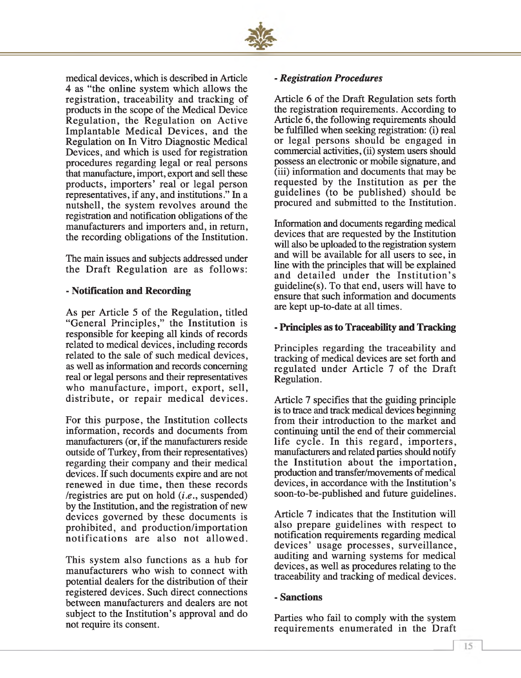

medical devices, which is described in Article 4 as "the online system which allows the registration, traceability and tracking of products in the scope of the Medical Device Regulation, the Regulation on Active Implantable Medical Devices, and the Regulation on In Vitro Diagnostic Medical Devices, and which is used for registration procedures regarding legal or real persons that manufacture, import, export and sell these products, importers' real or legal person representatives, if any, and institutions." In a nutshell, the system revolves around the registration and notification obligations of the manufacturers and importers and, in return, the recording obligations of the Institution.

The main issues and subjects addressed under the Draft Regulation are as follows:

#### **- Notification and Recording**

As per Article 5 of the Regulation, titled "General Principles," the Institution is responsible for keeping all kinds of records related to medical devices, including records related to the sale of such medical devices, as well as information and records concerning real or legal persons and their representatives who manufacture, import, export, sell, distribute, or repair medical devices.

For this purpose, the Institution collects information, records and documents from manufacturers (or, if the manufacturers reside outside of Turkey, from their representatives) regarding their company and their medical devices. If such documents expire and are not renewed in due time, then these records /registries are put on hold *(i.e.,* suspended) by the Institution, and the registration of new devices governed by these documents is prohibited, and production/importation notifications are also not allowed.

This system also functions as a hub for manufacturers who wish to connect with potential dealers for the distribution of their registered devices. Such direct connections between manufacturers and dealers are not subject to the Institution's approval and do not require its consent.

#### **-** *Registration Procedures*

Article 6 of the Draft Regulation sets forth the registration requirements. According to Article 6, the following requirements should be fulfilled when seeking registration: (i) real or legal persons should be engaged in commercial activities, (ii) system users should possess an electronic or mobile signature, and (iii) information and documents that may be requested by the Institution as per the guidelines (to be published) should be procured and submitted to the Institution.

Information and documents regarding medical devices that are requested by the Institution will also be uploaded to the registration system and will be available for all users to see, in line with the principles that will be explained and detailed under the Institution's guideline(s). To that end, users will have to ensure that such information and documents are kept up-to-date at all times.

#### **- Principles as to Traceability and Tracking**

Principles regarding the traceability and tracking of medical devices are set forth and regulated under Article 7 of the Draft Regulation.

Article 7 specifies that the guiding principle is to trace and track medical devices beginning from their introduction to the market and continuing until the end of their commercial life cycle. In this regard, importers, manufacturers and related parties should notify the Institution about the importation, production and transfer/movements of medical devices, in accordance with the Institution's soon-to-be-published and future guidelines.

Article 7 indicates that the Institution will also prepare guidelines with respect to notification requirements regarding medical devices' usage processes, surveillance, auditing and warning systems for medical devices, as well as procedures relating to the traceability and tracking of medical devices.

#### **- Sanctions**

Parties who fail to comply with the system requirements enumerated in the Draft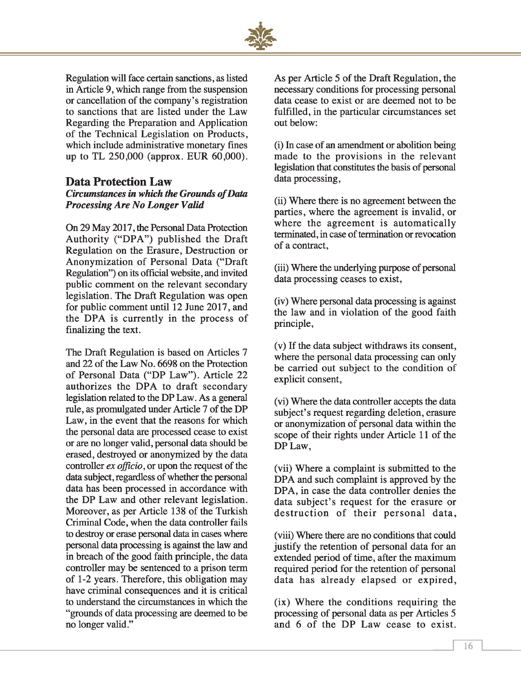

Regulation will face certain sanctions, as listed in Article 9, which range from the suspension or cancellation of the company's registration to sanctions that are listed under the Law Regarding the Preparation and Application of the Technical Legislation on Products, which include administrative monetary fines up to TL 250,000 (approx. EUR 60,000).

#### **Data Protection Law** *Circumstances in which the Grounds o f Data Processing Are No Longer Valid*

On 29 May 2017, the Personal Data Protection Authority ("DPA") published the Draft Regulation on the Erasure, Destruction or Anonymization of Personal Data ("Draft Regulation") on its official website, and invited public comment on the relevant secondary legislation. The Draft Regulation was open for public comment until 12 June 2017, and the DPA is currently in the process of finalizing the text.

The Draft Regulation is based on Articles 7 and 22 of the Law No. 6698 on the Protection of Personal Data ("DP Law"). Article 22 authorizes the DPA to draft secondary legislation related to the DP Law. As a general rule, as promulgated under Article 7 of the DP Law, in the event that the reasons for which the personal data are processed cease to exist or are no longer valid, personal data should be erased, destroyed or anonymized by the data controller *ex officio,* or upon the request of the data subject, regardless of whether the personal data has been processed in accordance with the DP Law and other relevant legislation. Moreover, as per Article 138 of the Turkish Criminal Code, when the data controller fails to destroy or erase personal data in cases where personal data processing is against the law and in breach of the good faith principle, the data controller may be sentenced to a prison term of 1-2 years. Therefore, this obligation may have criminal consequences and it is critical to understand the circumstances in which the "grounds of data processing are deemed to be no longer valid."

As per Article 5 of the Draft Regulation, the necessary conditions for processing personal data cease to exist or are deemed not to be fulfilled, in the particular circumstances set out below:

(i) In case of an amendment or abolition being m ade to the provisions in the relevant legislation that constitutes the basis of personal data processing,

(ii) Where there is no agreement between the parties, where the agreement is invalid, or where the agreement is automatically terminated, in case of termination or revocation of a contract,

(iii) Where the underlying purpose of personal data processing ceases to exist,

(iv) Where personal data processing is against the law and in violation of the good faith principle,

(v) If the data subject withdraws its consent, where the personal data processing can only be carried out subject to the condition of explicit consent,

(vi) Where the data controller accepts the data subject's request regarding deletion, erasure or anonymization of personal data within the scope of their rights under Article 11 of the DP Law,

(vii) Where a complaint is submitted to the DPA and such complaint is approved by the DPA, in case the data controller denies the data subject's request for the erasure or destruction of their personal data,

(viii) Where there are no conditions that could justify the retention of personal data for an extended period of time, after the maximum required period for the retention of personal data has already elapsed or expired,

(ix) W here the conditions requiring the processing of personal data as per Articles 5 and 6 of the DP Law cease to exist.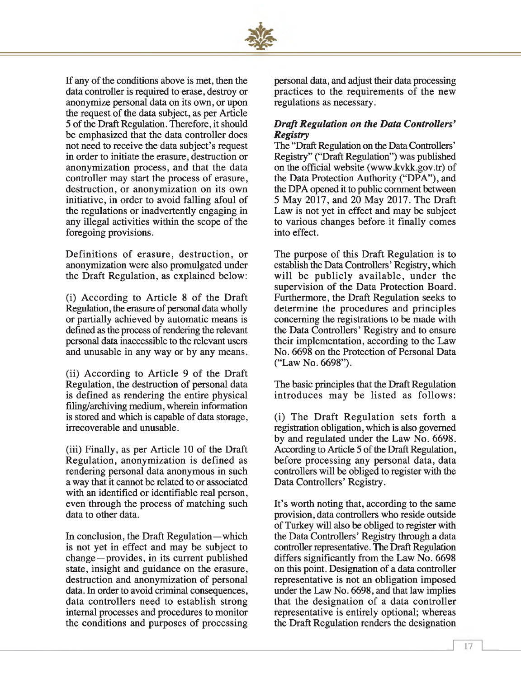

If any of the conditions above is met, then the data controller is required to erase, destroy or anonymize personal data on its own, or upon the request of the data subject, as per Article 5 of the Draft Regulation. Therefore, it should be emphasized that the data controller does not need to receive the data subject's request in order to initiate the erasure, destruction or anonymization process, and that the data controller may start the process of erasure, destruction, or anonymization on its own initiative, in order to avoid falling afoul of the regulations or inadvertently engaging in any illegal activities within the scope of the foregoing provisions.

Definitions of erasure, destruction, or anonymization were also promulgated under the Draft Regulation, as explained below:

(i) According to Article 8 of the Draft Regulation, the erasure of personal data wholly or partially achieved by automatic means is defined as the process of rendering the relevant personal data inaccessible to the relevant users and unusable in any way or by any means.

(ii) According to Article 9 of the Draft Regulation, the destruction of personal data is defined as rendering the entire physical filing/archiving medium, wherein information is stored and which is capable of data storage, irrecoverable and unusable.

(iii) Finally, as per Article 10 of the Draft Regulation, anonymization is defined as rendering personal data anonymous in such a way that it cannot be related to or associated with an identified or identifiable real person, even through the process of matching such data to other data.

In conclusion, the Draft Regulation—which is not yet in effect and may be subject to change—provides, in its current published state, insight and guidance on the erasure, destruction and anonymization of personal data. In order to avoid criminal consequences, data controllers need to establish strong internal processes and procedures to monitor the conditions and purposes of processing personal data, and adjust their data processing practices to the requirements of the new regulations as necessary.

#### *Draft Regulation on the Data Controllers' Registry*

The "Draft Regulation on the Data Controllers' Registry" ("Draft Regulation") was published on the official website (www.kvkk.gov.tr) of the Data Protection Authority ("DPA"), and the DPA opened it to public comment between 5 May 2017, and 20 May 2017. The Draft Law is not yet in effect and may be subject to various changes before it finally comes into effect.

The purpose of this Draft Regulation is to establish the Data Controllers' Registry, which will be publicly available, under the supervision of the Data Protection Board. Furthermore, the Draft Regulation seeks to determine the procedures and principles concerning the registrations to be made with the Data Controllers' Registry and to ensure their implementation, according to the Law No. 6698 on the Protection of Personal Data ("Law No. 6698").

The basic principles that the Draft Regulation introduces may be listed as follows:

(i) The Draft Regulation sets forth a registration obligation, which is also governed by and regulated under the Law No. 6698. According to Article 5 of the Draft Regulation, before processing any personal data, data controllers will be obliged to register with the Data Controllers' Registry.

It's worth noting that, according to the same provision, data controllers who reside outside of Turkey will also be obliged to register with the Data Controllers' Registry through a data controller representative. The Draft Regulation differs significantly from the Law No. 6698 on this point. Designation of a data controller representative is not an obligation imposed under the Law No. 6698, and that law implies that the designation of a data controller representative is entirely optional; whereas the Draft Regulation renders the designation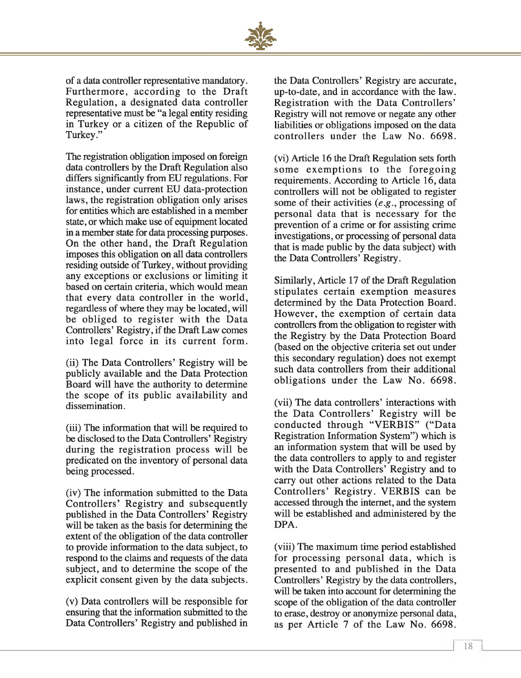

of a data controller representative mandatory. Furthermore, according to the Draft Regulation, a designated data controller representative must be "a legal entity residing in Turkey or a citizen of the Republic of Turkey."

The registration obligation imposed on foreign data controllers by the Draft Regulation also differs significantly from EU regulations. For instance, under current EU data-protection laws, the registration obligation only arises for entities which are established in a member state, or which make use of equipment located in a member state for data processing purposes. On the other hand, the Draft Regulation imposes this obligation on all data controllers residing outside of Turkey, without providing any exceptions or exclusions or limiting it based on certain criteria, which would mean that every data controller in the world, regardless of where they may be located, will be obliged to register with the Data Controllers' Registry, if the Draft Law comes into legal force in its current form.

(ii) The Data Controllers' Registry will be publicly available and the Data Protection Board will have the authority to determine the scope of its public availability and dissemination.

(iii) The information that will be required to be disclosed to the Data Controllers' Registry during the registration process will be predicated on the inventory of personal data being processed.

(iv) The information submitted to the Data Controllers' Registry and subsequently published in the Data Controllers' Registry will be taken as the basis for determining the extent of the obligation of the data controller to provide information to the data subject, to respond to the claims and requests of the data subject, and to determine the scope of the explicit consent given by the data subjects.

(v) Data controllers will be responsible for ensuring that the information submitted to the Data Controllers' Registry and published in

the Data Controllers' Registry are accurate, up-to-date, and in accordance with the law. Registration with the Data Controllers' Registry will not remove or negate any other liabilities or obligations imposed on the data controllers under the Law No. 6698.

(vi) Article 16 the Draft Regulation sets forth some exemptions to the foregoing requirements. According to Article 16, data controllers will not be obligated to register some of their activities (*e.g*., processing of personal data that is necessary for the prevention of a crime or for assisting crime investigations, or processing of personal data that is made public by the data subject) with the Data Controllers' Registry.

Similarly, Article 17 of the Draft Regulation stipulates certain exemption measures determined by the Data Protection Board. However, the exemption of certain data controllers from the obligation to register with the Registry by the Data Protection Board (based on the objective criteria set out under this secondary regulation) does not exempt such data controllers from their additional obligations under the Law No. 6698.

(vii) The data controllers' interactions with the Data Controllers' Registry will be conducted through "VERBIS" ("Data Registration Information System") which is an information system that will be used by the data controllers to apply to and register with the Data Controllers' Registry and to carry out other actions related to the Data Controllers' Registry. VERBIS can be accessed through the internet, and the system will be established and administered by the DPA.

(viii) The maximum time period established for processing personal data, which is presented to and published in the Data Controllers' Registry by the data controllers, will be taken into account for determining the scope of the obligation of the data controller to erase, destroy or anonymize personal data, as per Article 7 of the Law No. 6698.

*1*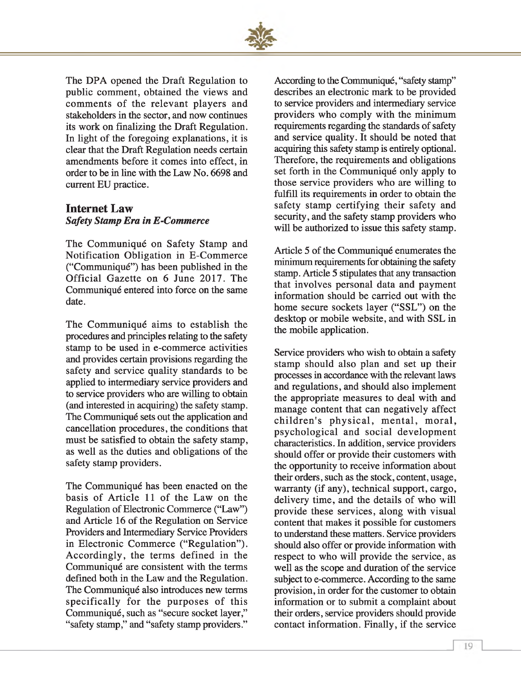

The DPA opened the Draft Regulation to public comment, obtained the views and comments of the relevant players and stakeholders in the sector, and now continues its work on finalizing the Draft Regulation. In light of the foregoing explanations, it is clear that the Draft Regulation needs certain amendments before it comes into effect, in order to be in line with the Law No. 6698 and current EU practice.

#### **Internet Law** *Safety Stamp Era in E-Commerce*

The Communiqué on Safety Stamp and Notification Obligation in E-Commerce ("Communiqué") has been published in the Official Gazette on 6 June 2017. The Communiqué entered into force on the same date.

The Communiqué aims to establish the procedures and principles relating to the safety stamp to be used in e-commerce activities and provides certain provisions regarding the safety and service quality standards to be applied to intermediary service providers and to service providers who are willing to obtain (and interested in acquiring) the safety stamp. The Communiqué sets out the application and cancellation procedures, the conditions that must be satisfied to obtain the safety stamp, as well as the duties and obligations of the safety stamp providers.

The Communiqué has been enacted on the basis of Article 11 of the Law on the Regulation of Electronic Commerce ("Law") and Article 16 of the Regulation on Service Providers and Intermediary Service Providers in Electronic Commerce ("Regulation"). Accordingly, the terms defined in the Communiqué are consistent with the terms defined both in the Law and the Regulation. The Communiqué also introduces new terms specifically for the purposes of this Communiqué, such as "secure socket layer," "safety stamp," and "safety stamp providers."

According to the Communiqué, "safety stamp" describes an electronic mark to be provided to service providers and intermediary service providers who comply with the minimum requirements regarding the standards of safety and service quality. It should be noted that acquiring this safety stamp is entirely optional. Therefore, the requirements and obligations set forth in the Communiqué only apply to those service providers who are willing to fulfill its requirements in order to obtain the safety stamp certifying their safety and security, and the safety stamp providers who will be authorized to issue this safety stamp.

Article 5 of the Communiqué enumerates the minimum requirements for obtaining the safety stamp. Article 5 stipulates that any transaction that involves personal data and payment information should be carried out with the home secure sockets layer ("SSL") on the desktop or mobile website, and with SSL in the mobile application.

Service providers who wish to obtain a safety stamp should also plan and set up their processes in accordance with the relevant laws and regulations, and should also implement the appropriate measures to deal with and manage content that can negatively affect children's physical, mental, moral, psychological and social development characteristics. In addition, service providers should offer or provide their customers with the opportunity to receive information about their orders, such as the stock, content, usage, warranty (if any), technical support, cargo, delivery time, and the details of who will provide these services, along with visual content that makes it possible for customers to understand these matters. Service providers should also offer or provide information with respect to who will provide the service, as well as the scope and duration of the service subject to e-commerce. According to the same provision, in order for the customer to obtain information or to submit a complaint about their orders, service providers should provide contact information. Finally, if the service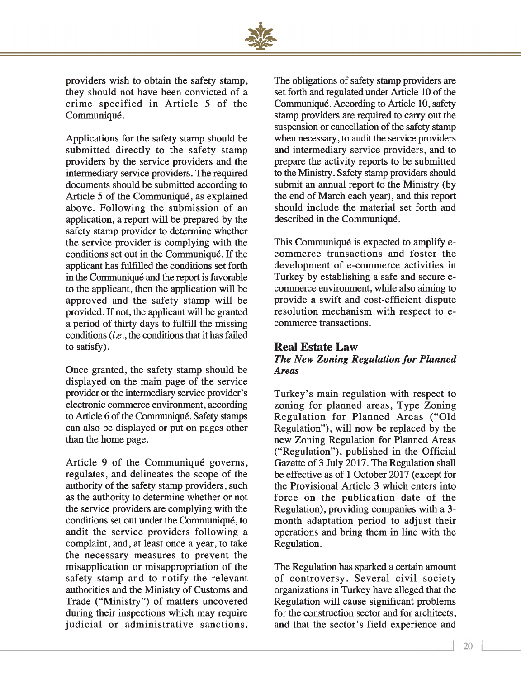

providers wish to obtain the safety stamp, they should not have been convicted of a crime specified in Article 5 of the Communiqué.

Applications for the safety stamp should be submitted directly to the safety stamp providers by the service providers and the intermediary service providers. The required documents should be submitted according to Article 5 of the Communiqué, as explained above. Following the submission of an application, a report will be prepared by the safety stamp provider to determine whether the service provider is complying with the conditions set out in the Communiqué. If the applicant has fulfilled the conditions set forth in the Communiqué and the report is favorable to the applicant, then the application will be approved and the safety stamp will be provided. If not, the applicant will be granted a period of thirty days to fulfill the missing conditions *(i.e.,* the conditions that it has failed to satisfy).

Once granted, the safety stamp should be displayed on the main page of the service provider or the intermediary service provider's electronic commerce environment, according to Article 6 of the Communiqué. Safety stamps can also be displayed or put on pages other than the home page.

Article 9 of the Communiqué governs, regulates, and delineates the scope of the authority of the safety stamp providers, such as the authority to determine whether or not the service providers are complying with the conditions set out under the Communiqué, to audit the service providers following a complaint, and, at least once a year, to take the necessary measures to prevent the misapplication or misappropriation of the safety stamp and to notify the relevant authorities and the Ministry of Customs and Trade ("Ministry") of matters uncovered during their inspections which may require judicial or administrative sanctions.

The obligations of safety stamp providers are set forth and regulated under Article 10 of the Communiqué. According to Article 10, safety stamp providers are required to carry out the suspension or cancellation of the safety stamp when necessary, to audit the service providers and intermediary service providers, and to prepare the activity reports to be submitted to the Ministry. Safety stamp providers should submit an annual report to the Ministry (by the end of March each year), and this report should include the material set forth and described in the Communiqué.

This Communiqué is expected to amplify ecommerce transactions and foster the development of e-commerce activities in Turkey by establishing a safe and secure ecommerce environment, while also aiming to provide a swift and cost-efficient dispute resolution mechanism with respect to ecommerce transactions.

#### **Real Estate Law** *The New Zoning Regulation for Planned Areas*

Turkey's main regulation with respect to zoning for planned areas, Type Zoning Regulation for Planned Areas ("Old Regulation"), will now be replaced by the new Zoning Regulation for Planned Areas ("Regulation"), published in the Official Gazette of 3 July 2017. The Regulation shall be effective as of 1 October 2017 (except for the Provisional Article 3 which enters into force on the publication date of the Regulation), providing companies with a 3 month adaptation period to adjust their operations and bring them in line with the Regulation.

The Regulation has sparked a certain amount of controversy. Several civil society organizations in Turkey have alleged that the Regulation will cause significant problems for the construction sector and for architects, and that the sector's field experience and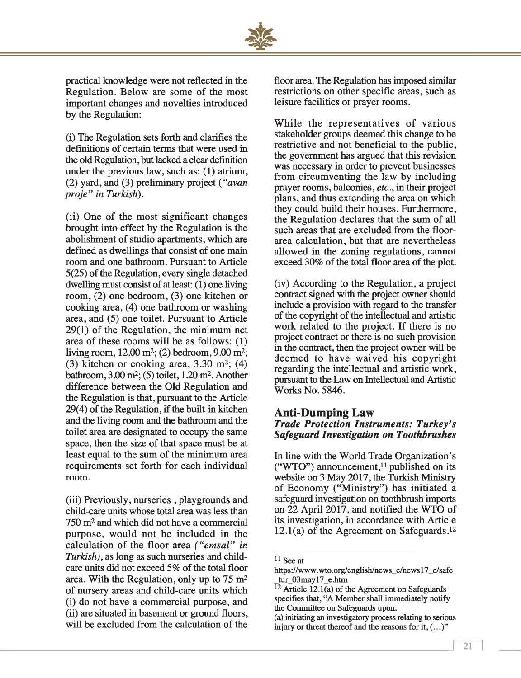

practical knowledge were not reflected in the Regulation. Below are some of the most important changes and novelties introduced by the Regulation:

(1) The Regulation sets forth and clarifies the definitions of certain terms that were used in the old Regulation, but lacked a clear definition under the previous law, such as: (1) atrium, (2) yard, and (3) preliminary project *( "avan proje" in Turkish).*

(ii) One of the most significant changes brought into effect by the Regulation is the abolishment of studio apartments, which are defined as dwellings that consist of one main room and one bathroom. Pursuant to Article 5(25) of the Regulation, every single detached dwelling must consist of at least: (1) one living room, (2) one bedroom, (3) one kitchen or cooking area, (4) one bathroom or washing area, and (5) one toilet. Pursuant to Article 29(1) of the Regulation, the minimum net area of these rooms will be as follows: (1) living room,  $12.00 \text{ m}^2$ ; (2) bedroom,  $9.00 \text{ m}^2$ ; (3) kitchen or cooking area,  $3.30 \text{ m}^2$ ; (4) bathroom, 3.00 m2; (5) toilet, 1.20 m2. Another difference between the Old Regulation and the Regulation is that, pursuant to the Article 29(4) of the Regulation, if the built-in kitchen and the living room and the bathroom and the toilet area are designated to occupy the same space, then the size of that space must be at least equal to the sum of the minimum area requirements set forth for each individual room.

(iii) Previously, nurseries , playgrounds and child-care units whose total area was less than 750 m2 and which did not have a commercial purpose, would not be included in the calculation of the floor area *("emsal" in Turkish),* as long as such nurseries and childcare units did not exceed 5% of the total floor area. With the Regulation, only up to  $75 \text{ m}^2$ of nursery areas and child-care units which (i) do not have a commercial purpose, and (ii) are situated in basement or ground floors, will be excluded from the calculation of the floor area. The Regulation has imposed similar restrictions on other specific areas, such as leisure facilities or prayer rooms.

While the representatives of various stakeholder groups deemed this change to be restrictive and not beneficial to the public, the government has argued that this revision was necessary in order to prevent businesses from circumventing the law by including prayer rooms, balconies, *etc.,* in their project plans, and thus extending the area on which they could build their houses. Furthermore, the Regulation declares that the sum of all such areas that are excluded from the floorarea calculation, but that are nevertheless allowed in the zoning regulations, cannot exceed 30% of the total floor area of the plot.

(iv) According to the Regulation, a project contract signed with the project owner should include a provision with regard to the transfer of the copyright of the intellectual and artistic work related to the project. If there is no project contract or there is no such provision in the contract, then the project owner will be deemed to have waived his copyright regarding the intellectual and artistic work, pursuant to the Law on Intellectual and Artistic Works No. 5846.

#### **Anti-Dumping Law** *Trade Protection Instruments: Turkey's Safeguard Investigation on Toothbrushes*

In line with the World Trade Organization's ("WTO") announcement, $11$  published on its website on 3 May 2017, the Turkish Ministry of Economy ("Ministry") has initiated a safeguard investigation on toothbrush imports on 22 April 2017, and notified the WTO of its investigation, in accordance with Article 12.1(a) of the Agreement on Safeguards.12

 $11$  See at

<https://www> .wto .org/english/news\_e/news 17\_e/safe \_tur\_03 may 17\_e .htm

 $12$  Article 12.1(a) of the Agreement on Safeguards specifies that, "A Member shall immediately notify the Committee on Safeguards upon:

<sup>(</sup>a) initiating an investigatory process relating to serious injury or threat thereof and the reasons for it, (...)"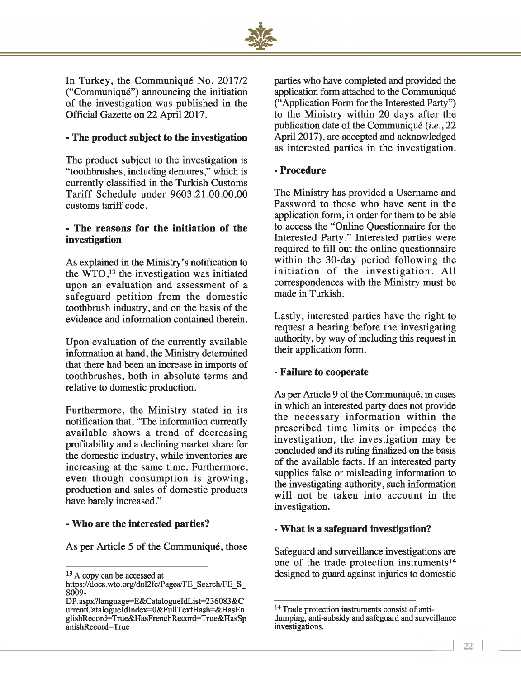

In Turkey, the Communiqué No. 2017/2 ("Communiqué") announcing the initiation of the investigation was published in the Official Gazette on 22 April 2017.

#### **- The product subject to the investigation**

The product subject to the investigation is "toothbrushes, including dentures," which is currently classified in the Turkish Customs Tariff Schedule under 9603.21.00.00.00 customs tariff code.

#### **- The reasons for the initiation of the investigation**

As explained in the Ministry's notification to the  $\hat{W}TO$ ,<sup>13</sup> the investigation was initiated upon an evaluation and assessment of a safeguard petition from the domestic toothbrush industry, and on the basis of the evidence and information contained therein.

Upon evaluation of the currently available information at hand, the Ministry determined that there had been an increase in imports of toothbrushes, both in absolute terms and relative to domestic production.

Furthermore, the Ministry stated in its notification that, "The information currently available shows a trend of decreasing profitability and a declining market share for the domestic industry, while inventories are increasing at the same time. Furthermore, even though consumption is growing, production and sales of domestic products have barely increased."

#### **- Who are the interested parties?**

As per Article 5 of the Communiqué, those

parties who have completed and provided the application form attached to the Communiqué ("Application Form for the Interested Party") to the Ministry within 20 days after the publication date of the Communiqué *(i.e., 22* April 2017), are accepted and acknowledged as interested parties in the investigation.

#### **- Procedure**

The Ministry has provided a Username and Password to those who have sent in the application form, in order for them to be able to access the "Online Questionnaire for the Interested Party." Interested parties were required to fill out the online questionnaire within the 30-day period following the initiation of the investigation. All correspondences with the Ministry must be made in Turkish.

Lastly, interested parties have the right to request a hearing before the investigating authority, by way of including this request in their application form.

#### **- Failure to cooperate**

As per Article 9 of the Communiqué, in cases in which an interested party does not provide the necessary information within the prescribed time limits or impedes the investigation, the investigation may be concluded and its ruling finalized on the basis of the available facts. If an interested party supplies false or misleading information to the investigating authority, such information will not be taken into account in the investigation.

#### **- What is a safeguard investigation?**

Safeguard and surveillance investigations are one of the trade protection instruments<sup>14</sup> designed to guard against injuries to domestic

<sup>&</sup>lt;sup>13</sup> A copy can be accessed at

https://docs.wto.org/dol2fe/Pages/FE\_Search/FE\_S S009-

DP.aspx?language=E&CatalogueIdList=236083&C urrentCatalogueIdIndex=0&FullTextHash=&HasEn glishRecord=True&HasFrenchRecord=True&HasSp anishRecord=True

<sup>&</sup>lt;sup>14</sup> Trade protection instruments consist of antidumping, anti-subsidy and safeguard and surveillance investigations.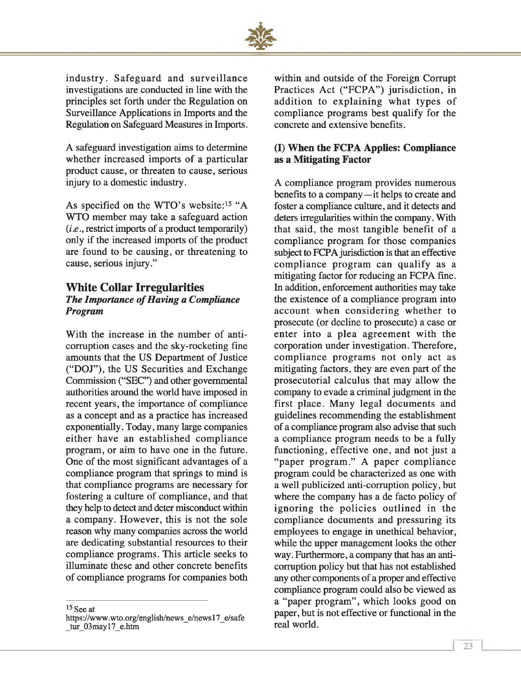

industry. Safeguard and surveillance investigations are conducted in line with the principles set forth under the Regulation on Surveillance Applications in Imports and the Regulation on Safeguard Measures in Imports.

A safeguard investigation aims to determine whether increased imports of a particular product cause, or threaten to cause, serious injury to a domestic industry.

As specified on the WTO's website:<sup>15</sup> "A WTO member may take a safeguard action *(i.e.,* restrict imports of a product temporarily) only if the increased imports of the product are found to be causing, or threatening to cause, serious injury."

#### **White Collar Irregularities** *The Importance of Having a Compliance Program*

With the increase in the number of anticorruption cases and the sky-rocketing fine amounts that the US Department of Justice ("DOJ"), the US Securities and Exchange Commission ("SEC") and other governmental authorities around the world have imposed in recent years, the importance of compliance as a concept and as a practice has increased exponentially. Today, many large companies either have an established compliance program, or aim to have one in the future. One of the most significant advantages of a compliance program that springs to mind is that compliance programs are necessary for fostering a culture of compliance, and that they help to detect and deter misconduct within a company. However, this is not the sole reason why many companies across the world are dedicating substantial resources to their compliance programs. This article seeks to illuminate these and other concrete benefits of compliance programs for companies both

15 See at

within and outside of the Foreign Corrupt Practices Act ("FCPA") jurisdiction, in addition to explaining what types of compliance programs best qualify for the concrete and extensive benefits.

#### **(I) When the FCPA Applies: Compliance as a Mitigating Factor**

A compliance program provides numerous benefits to a company—it helps to create and foster a compliance culture, and it detects and deters irregularities within the company. With that said, the most tangible benefit of a compliance program for those companies subject to FCPA jurisdiction is that an effective compliance program can qualify as a mitigating factor for reducing an FCPA fine. In addition, enforcement authorities may take the existence of a compliance program into account when considering whether to prosecute (or decline to prosecute) a case or enter into a plea agreement with the corporation under investigation. Therefore, compliance programs not only act as mitigating factors, they are even part of the prosecutorial calculus that may allow the company to evade a criminal judgment in the first place. Many legal documents and guidelines recommending the establishment of a compliance program also advise that such a compliance program needs to be a fully functioning, effective one, and not just a "paper program." A paper compliance program could be characterized as one with a well publicized anti-corruption policy, but where the company has a de facto policy of ignoring the policies outlined in the compliance documents and pressuring its employees to engage in unethical behavior, while the upper management looks the other way. Furthermore, a company that has an anticorruption policy but that has not established any other components of a proper and effective compliance program could also be viewed as a "paper program", which looks good on paper, but is not effective or functional in the real world.

[https://www.wto.org/english/news\\_e/newsl7\\_e/safe](https://www.wto.org/english/news_e/newsl7_e/safe) tur\_03may17\_e.htm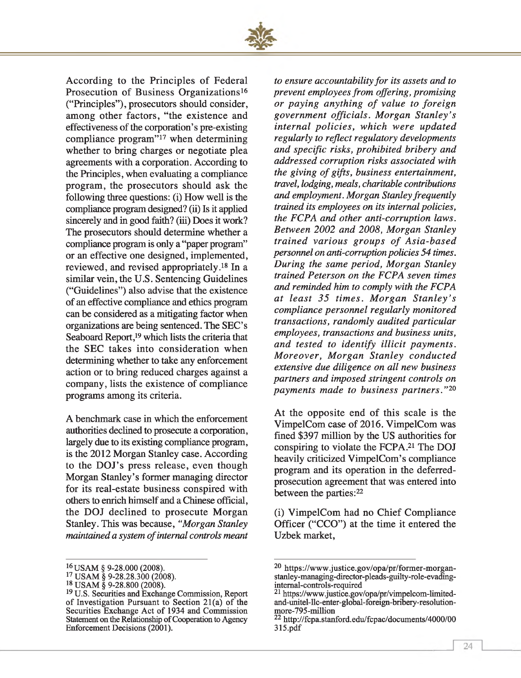

According to the Principles of Federal Prosecution of Business Organizations<sup>16</sup> ("Principles"), prosecutors should consider, among other factors, "the existence and effectiveness of the corporation's pre-existing compliance program"17 when determining whether to bring charges or negotiate plea agreements with a corporation. According to the Principles, when evaluating a compliance program, the prosecutors should ask the following three questions: (i) How well is the compliance program designed? (ii) Is it applied sincerely and in good faith? (iii) Does it work? The prosecutors should determine whether a compliance program is only a "paper program" or an effective one designed, implemented, reviewed, and revised appropriately.18 In a similar vein, the U.S. Sentencing Guidelines ("Guidelines") also advise that the existence of an effective compliance and ethics program can be considered as a mitigating factor when organizations are being sentenced. The SEC's Seaboard Report,<sup>19</sup> which lists the criteria that the SEC takes into consideration when determining whether to take any enforcement action or to bring reduced charges against a company, lists the existence of compliance programs among its criteria.

A benchmark case in which the enforcement authorities declined to prosecute a corporation, largely due to its existing compliance program, is the 2012 Morgan Stanley case. According to the DOJ's press release, even though Morgan Stanley's former managing director for its real-estate business conspired with others to enrich himself and a Chinese official, the DOJ declined to prosecute Morgan Stanley. This was because, *"Morgan Stanley maintained a system of internal controls meant*  *to ensure accountability for its assets and to prevent employees from offering, promising or paying anything of value to foreign governm ent officials. M organ Stanley's internal p olicies, w hich were updated regularly to reflect regulatory developments and specific risks, prohibited bribery and addressed corruption risks associated with the giving of gifts, business entertainment, travel, lodging, meals, charitable contributions and employment. Morgan Stanley frequently trained its employees on its internal policies, the FCPA and other anti-corruption laws. Between 2002 and 2008, Morgan Stanley trained various groups of Asia-based personnel on anti-corruption policies 54 times. During the same period, Morgan Stanley trained Peterson on the FCPA seven times and reminded him to comply with the FCPA a t least 35 tim es. M organ S ta n le y 's compliance personnel regularly monitored transactions, randomly audited particular employees, transactions and business units, and tested to identify illicit payments. M oreover, M organ Stanley conducted extensive due diligence on all new business partners and imposed stringent controls on paym ents made to business partners."20*

At the opposite end of this scale is the VimpelCom case of 2016. VimpelCom was fined \$397 million by the US authorities for conspiring to violate the FCPA.21 The DOJ heavily criticized VimpelCom's compliance program and its operation in the deferredprosecution agreement that was entered into between the parties:<sup>22</sup>

(i) VimpelCom had no Chief Compliance Officer ("CCO") at the time it entered the Uzbek market,

<sup>16</sup>USAM § 9-28.000 (2008).

 $^{17}_{12}$  USAM § 9-28.28.300 (2008).

<sup>18</sup> USAM § 9-28.800 (2008).

<sup>&</sup>lt;sup>19</sup> U.S. Securities and Exchange Commission, Report of Investigation Pursuant to Section 21(a) of the Securities Exchange Act of 1934 and Commission Statement on the Relationship of Cooperation to Agency Enforcement Decisions (2001).

<sup>20</sup> [https://www.justice.gov/opa/pr/former-morgan](https://www.justice.gov/opa/pr/former-morgan-stanley-managing-director-pleads-guilty-role-evading-intemal-controls-required)[stanley-managing-director-pleads-guilty-role-evading](https://www.justice.gov/opa/pr/former-morgan-stanley-managing-director-pleads-guilty-role-evading-intemal-controls-required)[intemal-controls-required](https://www.justice.gov/opa/pr/former-morgan-stanley-managing-director-pleads-guilty-role-evading-intemal-controls-required)

<sup>21</sup> [https://www.justice.gov/opa/pr/vimpelcom-limited](https://www.justice.gov/opa/pr/vimpelcom-limited-and-unitel-llc-enter-global-foreign-bribery-resolution-more-795-million)[and-unitel-llc-enter-global-foreign-bribery-resolution](https://www.justice.gov/opa/pr/vimpelcom-limited-and-unitel-llc-enter-global-foreign-bribery-resolution-more-795-million)[more-795-million](https://www.justice.gov/opa/pr/vimpelcom-limited-and-unitel-llc-enter-global-foreign-bribery-resolution-more-795-million)

<sup>22</sup><http://fcpa.stanford.edu/fcpac/documents/4000/00> 315.pdf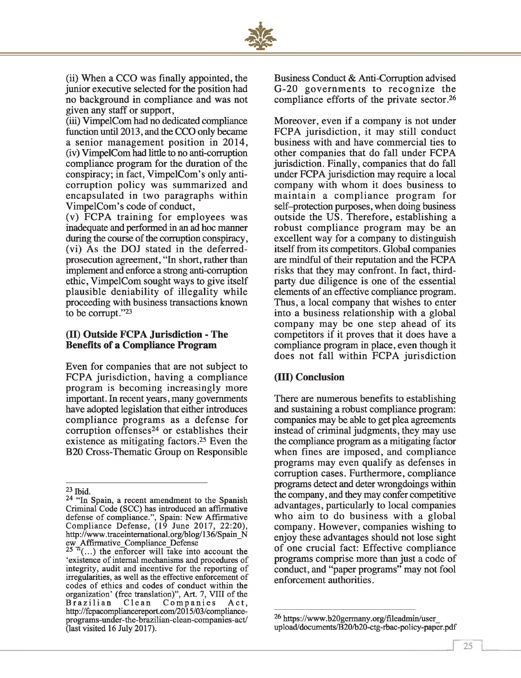

(ii) When a CCO was finally appointed, the junior executive selected for the position had no background in compliance and was not given any staff or support,

(iii) VimpelCom had no dedicated compliance function until 2013, and the CCO only became a senior management position in 2014, (iv) VimpelCom had little to no anti-corruption compliance program for the duration of the conspiracy; in fact, VimpelCom's only anticorruption policy was summarized and encapsulated in two paragraphs within VimpelCom's code of conduct,

(v) FCPA training for employees was inadequate and performed in an ad hoc manner during the course of the corruption conspiracy, (vi) As the DOJ stated in the deferredprosecution agreement, "In short, rather than implement and enforce a strong anti-corruption ethic, VimpelCom sought ways to give itself plausible deniability of illegality while proceeding with business transactions known to be corrupt."23

#### **(II) Outside FCPA Jurisdiction - The Benefits of a Compliance Program**

Even for companies that are not subject to FCPA jurisdiction, having a compliance program is becoming increasingly more important. In recent years, many governments have adopted legislation that either introduces compliance programs as a defense for corruption offenses<sup>24</sup> or establishes their existence as mitigating factors.25 Even the B20 Cross-Thematic Group on Responsible Business Conduct & Anti-Corruption advised G-20 governments to recognize the compliance efforts of the private sector.26

Moreover, even if a company is not under FCPA jurisdiction, it may still conduct business with and have commercial ties to other companies that do fall under FCPA jurisdiction. Finally, companies that do fall under FCPA jurisdiction may require a local company with whom it does business to maintain a compliance program for self-protection purposes, when doing business outside the US. Therefore, establishing a robust compliance program may be an excellent way for a company to distinguish itself from its competitors. Global companies are mindful of their reputation and the FCPA risks that they may confront. In fact, thirdparty due diligence is one of the essential elements of an effective compliance program. Thus, a local company that wishes to enter into a business relationship with a global company may be one step ahead of its competitors if it proves that it does have a compliance program in place, even though it does not fall within FCPA jurisdiction

#### **(III) Conclusion**

There are numerous benefits to establishing and sustaining a robust compliance program: companies may be able to get plea agreements instead of criminal judgments, they may use the compliance program as a mitigating factor when fines are imposed, and compliance programs may even qualify as defenses in corruption cases. Furthermore, compliance programs detect and deter wrongdoings within the company, and they may confer competitive advantages, particularly to local companies who aim to do business with a global company. However, companies wishing to enjoy these advantages should not lose sight of one crucial fact: Effective compliance programs comprise more than just a code of conduct, and "paper programs" may not fool enforcement authorities.

*1*

<sup>23</sup> Ibid.

<sup>&</sup>lt;sup>24 "In</sup> Spain, a recent amendment to the Spanish Criminal Code (SCC) has introduced an affirmative defense of compliance.", Spain: New Affirmative Compliance Defense, (19 June 2017, 22:20), [http://www.traceintemational.org/blog/136/Spain\\_N](http://www.traceintemational.org/blog/136/Spain_N) ew\_Affirmative\_Compliance\_Defense

 $25$  "(...) the enforcer will take into account the 'existence of internal mechanisms and procedures of integrity, audit and incentive for the reporting of irregularities, as well as the effective enforcement of codes of ethics and codes of conduct within the organization' (free translation)", Art. 7, VIII of the Brazilian Clean Companies Act, [http://fcpacompliancereport.com/2015/03/compliance](http://fcpacompliancereport.com/2015/03/compliance-programs-under-the-brazilian-clean-companies-act/)[programs-under-the-brazilian-clean-companies-act/](http://fcpacompliancereport.com/2015/03/compliance-programs-under-the-brazilian-clean-companies-act/) (last visited 16 July 2017).

<sup>26</sup> [https://www.b20germany.org/fileadmin/user\\_](https://www.b20germany.org/fileadmin/user_) upload/documents/B20/b20-ctg-rbac-policy-paper.pdf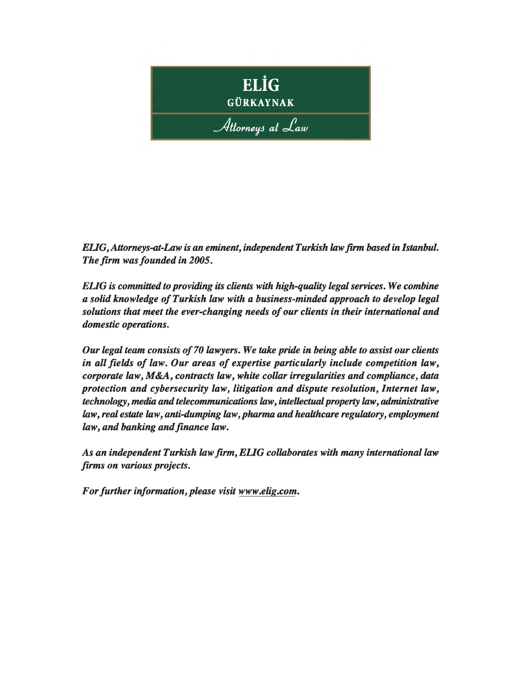

*EUG,Attomeys-at-Law is an eminent, independent Turkish law firm based in Istanbul. The firm was founded in 2005.*

*ELIG is committed to providing its clients with high-quality legal services. We combine a solid knowledge of Turkish law with a business-minded approach to develop legal* solutions that meet the ever-changing needs of our clients in their international and *domestic operations.*

*Our legal team consists of 70 lawyers. We take pride in being able to assist our clients* in all fields of law. Our areas of expertise particularly include competition law, *corporate law, M&A, contracts law, white collar irregularities and compliance, data protection and cybersecurity law, litigation and dispute resolution, Internet law, technology, media and telecommunications law, intellectual property law, administrative law, real estate law, anti-dumping law, pharma and healthcare regulatory, employment law, and banking and finance law.*

*As an independent Turkish law firm , ELIG collaborates with many international law firms on various projects.* 

*For further information, please visit [www.elig.com.](http://www.elig.com)*